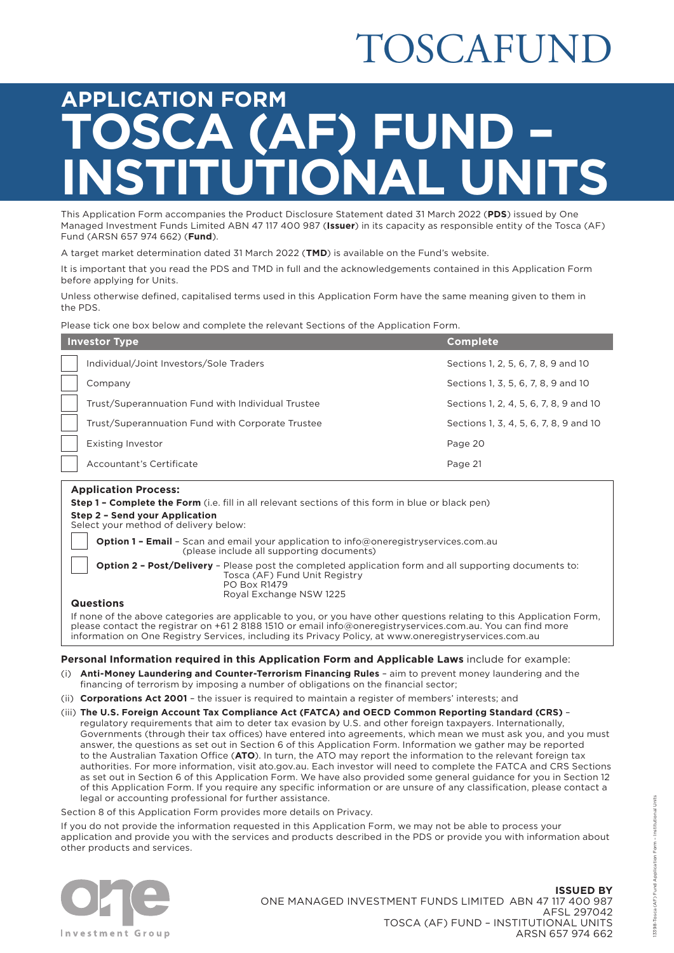# TOSCAFUNI

# **APPLICATION FORM SCA (AF) FUN<br>STITUTIONAL L INSTITUTIONAL UNITS**

This Application Form accompanies the Product Disclosure Statement dated 31 March 2022 (**PDS**) issued by One Managed Investment Funds Limited ABN 47 117 400 987 (**Issuer**) in its capacity as responsible entity of the Tosca (AF) Fund (ARSN 657 974 662) (**Fund**).

A target market determination dated 31 March 2022 (**TMD**) is available on the Fund's website.

It is important that you read the PDS and TMD in full and the acknowledgements contained in this Application Form before applying for Units.

Unless otherwise defined, capitalised terms used in this Application Form have the same meaning given to them in the PDS.

Please tick one box below and complete the relevant Sections of the Application Form.

| <b>Investor Type</b>                              | <b>Complete</b>                        |
|---------------------------------------------------|----------------------------------------|
| Individual/Joint Investors/Sole Traders           | Sections 1, 2, 5, 6, 7, 8, 9 and 10    |
| Company                                           | Sections 1, 3, 5, 6, 7, 8, 9 and 10    |
| Trust/Superannuation Fund with Individual Trustee | Sections 1, 2, 4, 5, 6, 7, 8, 9 and 10 |
| Trust/Superannuation Fund with Corporate Trustee  | Sections 1, 3, 4, 5, 6, 7, 8, 9 and 10 |
| <b>Existing Investor</b>                          | Page 20                                |
| Accountant's Certificate                          | Page 21                                |
|                                                   |                                        |

## **Application Process:**

| ADDIICAUUII FIUCESS.                                                                                                                                                                                                                                                                                                                          |
|-----------------------------------------------------------------------------------------------------------------------------------------------------------------------------------------------------------------------------------------------------------------------------------------------------------------------------------------------|
| <b>Step 1 - Complete the Form</b> (i.e. fill in all relevant sections of this form in blue or black pen)                                                                                                                                                                                                                                      |
| Step 2 - Send your Application<br>Select your method of delivery below:                                                                                                                                                                                                                                                                       |
| <b>Option 1 - Email</b> - Scan and email your application to info@oneregistryservices.com.au<br>(please include all supporting documents)                                                                                                                                                                                                     |
| <b>Option 2 - Post/Delivery</b> - Please post the completed application form and all supporting documents to:<br>Tosca (AF) Fund Unit Registry<br>PO Box R1479<br>Royal Exchange NSW 1225                                                                                                                                                     |
| <b>Questions</b>                                                                                                                                                                                                                                                                                                                              |
| If none of the above categories are applicable to you, or you have other questions relating to this Application Form,<br>please contact the registrar on +61 2 8188 1510 or email info@oneregistryservices.com.au. You can find more<br>information on One Registry Services, including its Privacy Policy, at www.oneregistryservices.com.au |

#### **Personal Information required in this Application Form and Applicable Laws** include for example:

- (i) **Anti-Money Laundering and Counter-Terrorism Financing Rules** aim to prevent money laundering and the financing of terrorism by imposing a number of obligations on the financial sector;
- (ii) **Corporations Act 2001** the issuer is required to maintain a register of members' interests; and
- (iii) **The U.S. Foreign Account Tax Compliance Act (FATCA) and OECD Common Reporting Standard (CRS)** regulatory requirements that aim to deter tax evasion by U.S. and other foreign taxpayers. Internationally, Governments (through their tax offices) have entered into agreements, which mean we must ask you, and you must answer, the questions as set out in Section 6 of this Application Form. Information we gather may be reported to the Australian Taxation Office (**ATO**). In turn, the ATO may report the information to the relevant foreign tax authorities. For more information, visit [ato.gov.au](http://ato.gov.au). Each investor will need to complete the FATCA and CRS Sections as set out in Section 6 of this Application Form. We have also provided some general guidance for you in Section 12 of this Application Form. If you require any specific information or are unsure of any classification, please contact a legal or accounting professional for further assistance.

Section 8 of this Application Form provides more details on Privacy.

If you do not provide the information requested in this Application Form, we may not be able to process your application and provide you with the services and products described in the PDS or provide you with information about other products and services.



**ISSUED BY** ONE MANAGED INVESTMENT FUNDS LIMITED ABN 47 117 400 987 AFSL 297042 TOSCA (AF) FUND – INSTITUTIONAL UNITS ARSN 657 974 662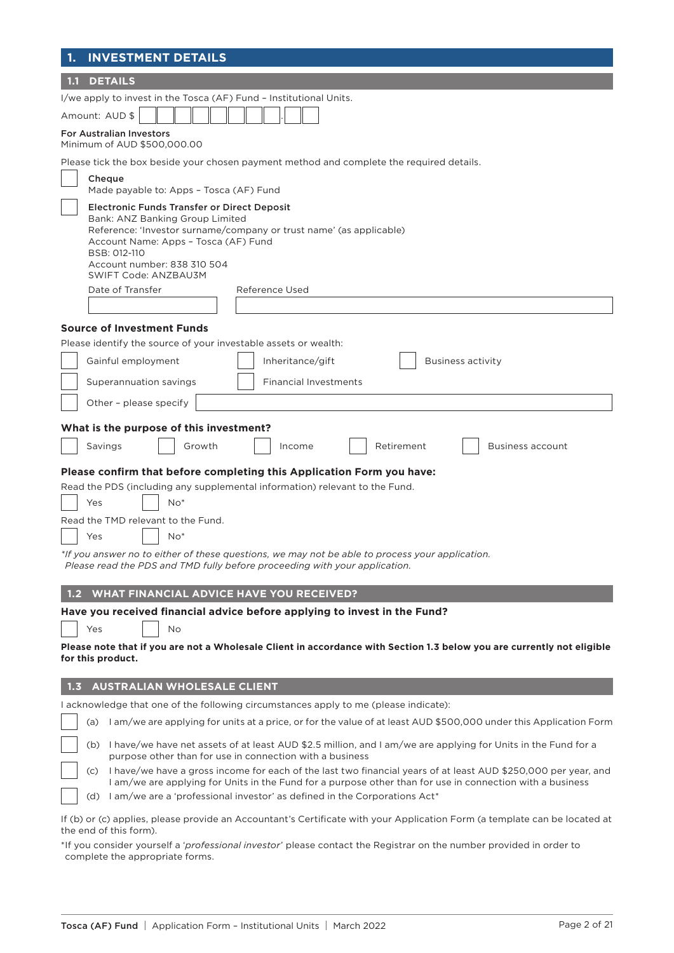| <b>INVESTMENT DETAILS</b>                                                                                                                                                                                                                                                                                              |
|------------------------------------------------------------------------------------------------------------------------------------------------------------------------------------------------------------------------------------------------------------------------------------------------------------------------|
| <b>DETAILS</b><br>1.1                                                                                                                                                                                                                                                                                                  |
| I/we apply to invest in the Tosca (AF) Fund - Institutional Units.                                                                                                                                                                                                                                                     |
| Amount: AUD \$                                                                                                                                                                                                                                                                                                         |
| <b>For Australian Investors</b><br>Minimum of AUD \$500,000.00                                                                                                                                                                                                                                                         |
| Please tick the box beside your chosen payment method and complete the required details.                                                                                                                                                                                                                               |
| Cheque<br>Made payable to: Apps - Tosca (AF) Fund                                                                                                                                                                                                                                                                      |
| <b>Electronic Funds Transfer or Direct Deposit</b><br>Bank: ANZ Banking Group Limited<br>Reference: 'Investor surname/company or trust name' (as applicable)<br>Account Name: Apps - Tosca (AF) Fund<br>BSB: 012-110<br>Account number: 838 310 504<br>SWIFT Code: ANZBAU3M                                            |
| Date of Transfer<br>Reference Used                                                                                                                                                                                                                                                                                     |
|                                                                                                                                                                                                                                                                                                                        |
| <b>Source of Investment Funds</b>                                                                                                                                                                                                                                                                                      |
| Please identify the source of your investable assets or wealth:                                                                                                                                                                                                                                                        |
| Inheritance/gift<br>Gainful employment<br>Business activity                                                                                                                                                                                                                                                            |
| Superannuation savings<br><b>Financial Investments</b>                                                                                                                                                                                                                                                                 |
| Other - please specify                                                                                                                                                                                                                                                                                                 |
| What is the purpose of this investment?                                                                                                                                                                                                                                                                                |
| Retirement<br>Savings<br>Growth<br>Business account<br>Income                                                                                                                                                                                                                                                          |
| Please confirm that before completing this Application Form you have:                                                                                                                                                                                                                                                  |
| Read the PDS (including any supplemental information) relevant to the Fund.                                                                                                                                                                                                                                            |
| $No*$<br>Yes                                                                                                                                                                                                                                                                                                           |
| Read the TMD relevant to the Fund.                                                                                                                                                                                                                                                                                     |
| $No*$<br>Yes                                                                                                                                                                                                                                                                                                           |
| *If you answer no to either of these questions, we may not be able to process your application.<br>Please read the PDS and TMD fully before proceeding with your application.                                                                                                                                          |
| <b>WHAT FINANCIAL ADVICE HAVE YOU RECEIVED?</b><br>1.2 <sub>1</sub>                                                                                                                                                                                                                                                    |
| Have you received financial advice before applying to invest in the Fund?                                                                                                                                                                                                                                              |
| No<br>Yes                                                                                                                                                                                                                                                                                                              |
| Please note that if you are not a Wholesale Client in accordance with Section 1.3 below you are currently not eligible<br>for this product.                                                                                                                                                                            |
| <b>AUSTRALIAN WHOLESALE CLIENT</b><br>1.3                                                                                                                                                                                                                                                                              |
| I acknowledge that one of the following circumstances apply to me (please indicate):                                                                                                                                                                                                                                   |
| I am/we are applying for units at a price, or for the value of at least AUD \$500,000 under this Application Form<br>(a)                                                                                                                                                                                               |
| (b) I have/we have net assets of at least AUD \$2.5 million, and I am/we are applying for Units in the Fund for a<br>purpose other than for use in connection with a business                                                                                                                                          |
| I have/we have a gross income for each of the last two financial years of at least AUD \$250,000 per year, and<br>(c)<br>I am/we are applying for Units in the Fund for a purpose other than for use in connection with a business<br>I am/we are a 'professional investor' as defined in the Corporations Act*<br>(d) |
| If (b) or (c) applies, please provide an Accountant's Certificate with your Application Form (a template can be located at                                                                                                                                                                                             |

the end of this form). \*If you consider yourself a '*professional investor*' please contact the Registrar on the number provided in order to complete the appropriate forms.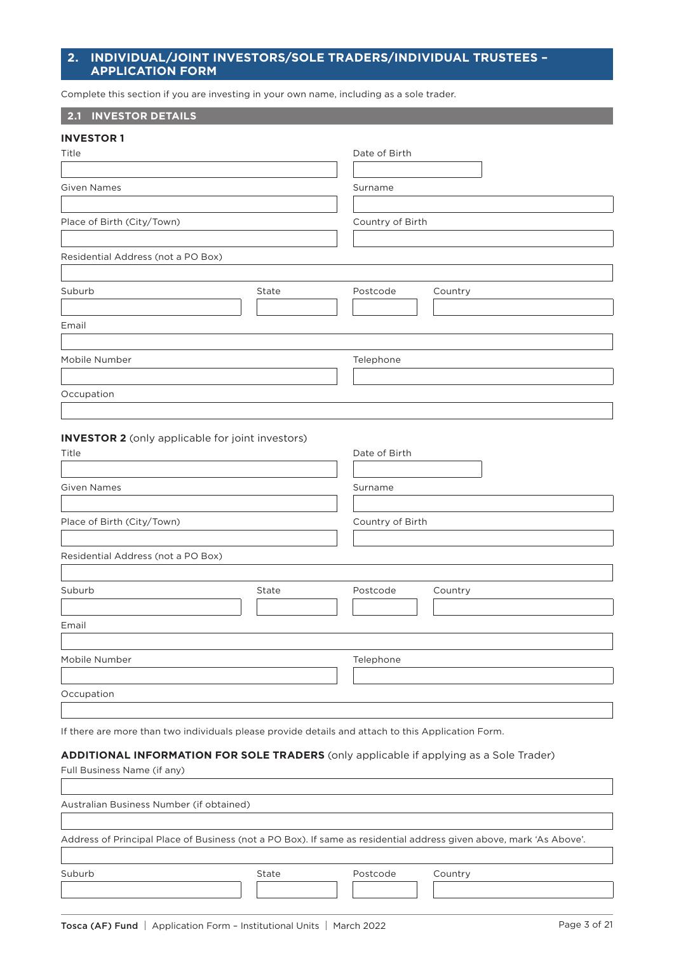# **2. INDIVIDUAL/JOINT INVESTORS/SOLE TRADERS/INDIVIDUAL TRUSTEES – APPLICATION FORM**

Complete this section if you are investing in your own name, including as a sole trader.

## **2.1 INVESTOR DETAILS**

| <b>INVESTOR 1</b>                  |       |                  |         |  |
|------------------------------------|-------|------------------|---------|--|
| Title                              |       | Date of Birth    |         |  |
|                                    |       |                  |         |  |
| <b>Given Names</b>                 |       | Surname          |         |  |
| Place of Birth (City/Town)         |       | Country of Birth |         |  |
| Residential Address (not a PO Box) |       |                  |         |  |
| Suburb                             | State | Postcode         | Country |  |
| Email                              |       |                  |         |  |
|                                    |       |                  |         |  |
| Mobile Number                      |       | Telephone        |         |  |
|                                    |       |                  |         |  |
| Occupation                         |       |                  |         |  |
|                                    |       |                  |         |  |

## **INVESTOR 2** (only applicable for joint investors)

| Title                              |       | Date of Birth       |
|------------------------------------|-------|---------------------|
|                                    |       |                     |
| <b>Given Names</b>                 |       | Surname             |
|                                    |       |                     |
| Place of Birth (City/Town)         |       | Country of Birth    |
|                                    |       |                     |
| Residential Address (not a PO Box) |       |                     |
|                                    |       |                     |
| Suburb                             | State | Postcode<br>Country |
| Email                              |       |                     |
|                                    |       |                     |
| Mobile Number                      |       | Telephone           |
|                                    |       |                     |
| Occupation                         |       |                     |
|                                    |       |                     |

If there are more than two individuals please provide details and attach to this Application Form.

### **ADDITIONAL INFORMATION FOR SOLE TRADERS** (only applicable if applying as a Sole Trader)

| Full Business Name (if any)              |       |          |                                                                                                                     |
|------------------------------------------|-------|----------|---------------------------------------------------------------------------------------------------------------------|
|                                          |       |          |                                                                                                                     |
| Australian Business Number (if obtained) |       |          |                                                                                                                     |
|                                          |       |          |                                                                                                                     |
|                                          |       |          | Address of Principal Place of Business (not a PO Box). If same as residential address given above, mark 'As Above'. |
|                                          |       |          |                                                                                                                     |
| Suburb                                   | State | Postcode | Country                                                                                                             |
|                                          |       |          |                                                                                                                     |
|                                          |       |          |                                                                                                                     |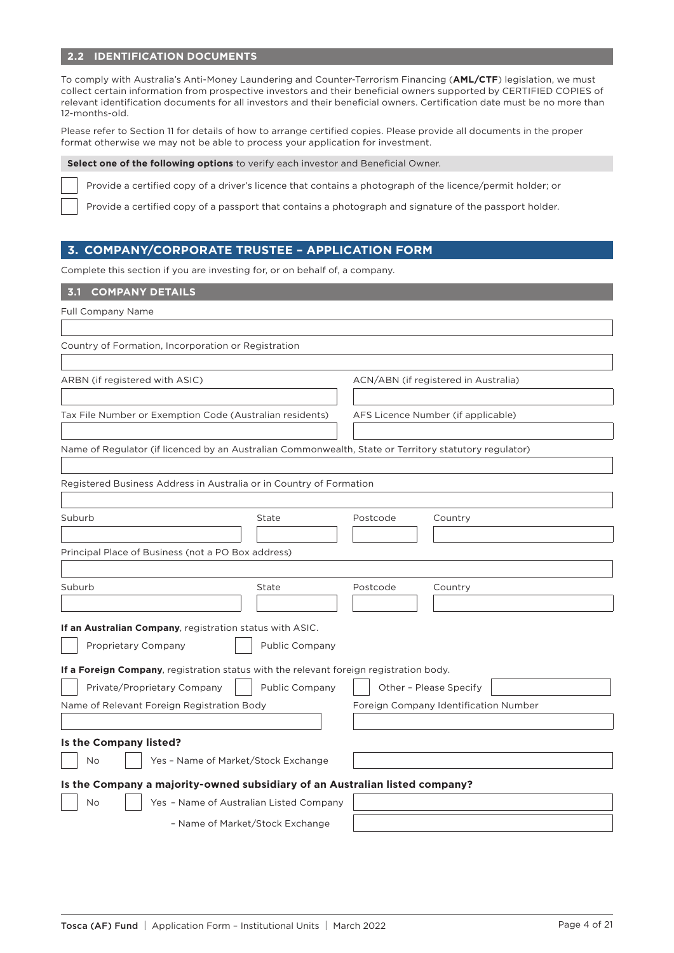# **2.2 IDENTIFICATION DOCUMENTS**

To comply with Australia's Anti-Money Laundering and Counter-Terrorism Financing (**AML/CTF**) legislation, we must collect certain information from prospective investors and their beneficial owners supported by CERTIFIED COPIES of relevant identification documents for all investors and their beneficial owners. Certification date must be no more than 12-months-old.

Please refer to Section 11 for details of how to arrange certified copies. Please provide all documents in the proper format otherwise we may not be able to process your application for investment.

#### **Select one of the following options** to verify each investor and Beneficial Owner.

Provide a certified copy of a driver's licence that contains a photograph of the licence/permit holder; or

Provide a certified copy of a passport that contains a photograph and signature of the passport holder.

# **3. COMPANY/CORPORATE TRUSTEE – APPLICATION FORM**

Complete this section if you are investing for, or on behalf of, a company.

# **3.1 COMPANY DETAILS**

| <b>Full Company Name</b>                                                                              |                       |                                    |                                       |
|-------------------------------------------------------------------------------------------------------|-----------------------|------------------------------------|---------------------------------------|
|                                                                                                       |                       |                                    |                                       |
| Country of Formation, Incorporation or Registration                                                   |                       |                                    |                                       |
|                                                                                                       |                       |                                    |                                       |
| ARBN (if registered with ASIC)                                                                        |                       |                                    | ACN/ABN (if registered in Australia)  |
|                                                                                                       |                       |                                    |                                       |
| Tax File Number or Exemption Code (Australian residents)                                              |                       | AFS Licence Number (if applicable) |                                       |
|                                                                                                       |                       |                                    |                                       |
| Name of Regulator (if licenced by an Australian Commonwealth, State or Territory statutory regulator) |                       |                                    |                                       |
|                                                                                                       |                       |                                    |                                       |
| Registered Business Address in Australia or in Country of Formation                                   |                       |                                    |                                       |
|                                                                                                       |                       |                                    |                                       |
| Suburb                                                                                                | State                 | Postcode                           | Country                               |
|                                                                                                       |                       |                                    |                                       |
| Principal Place of Business (not a PO Box address)                                                    |                       |                                    |                                       |
|                                                                                                       |                       |                                    |                                       |
| Suburb                                                                                                | State                 | Postcode                           | Country                               |
|                                                                                                       |                       |                                    |                                       |
| If an Australian Company, registration status with ASIC.                                              |                       |                                    |                                       |
| Proprietary Company                                                                                   | <b>Public Company</b> |                                    |                                       |
| If a Foreign Company, registration status with the relevant foreign registration body.                |                       |                                    |                                       |
| Private/Proprietary Company                                                                           | Public Company        | Other - Please Specify             |                                       |
| Name of Relevant Foreign Registration Body                                                            |                       |                                    | Foreign Company Identification Number |
|                                                                                                       |                       |                                    |                                       |
| Is the Company listed?                                                                                |                       |                                    |                                       |
| Yes - Name of Market/Stock Exchange<br>No                                                             |                       |                                    |                                       |
|                                                                                                       |                       |                                    |                                       |
| Is the Company a majority-owned subsidiary of an Australian listed company?                           |                       |                                    |                                       |
| Yes - Name of Australian Listed Company<br>No                                                         |                       |                                    |                                       |
| - Name of Market/Stock Exchange                                                                       |                       |                                    |                                       |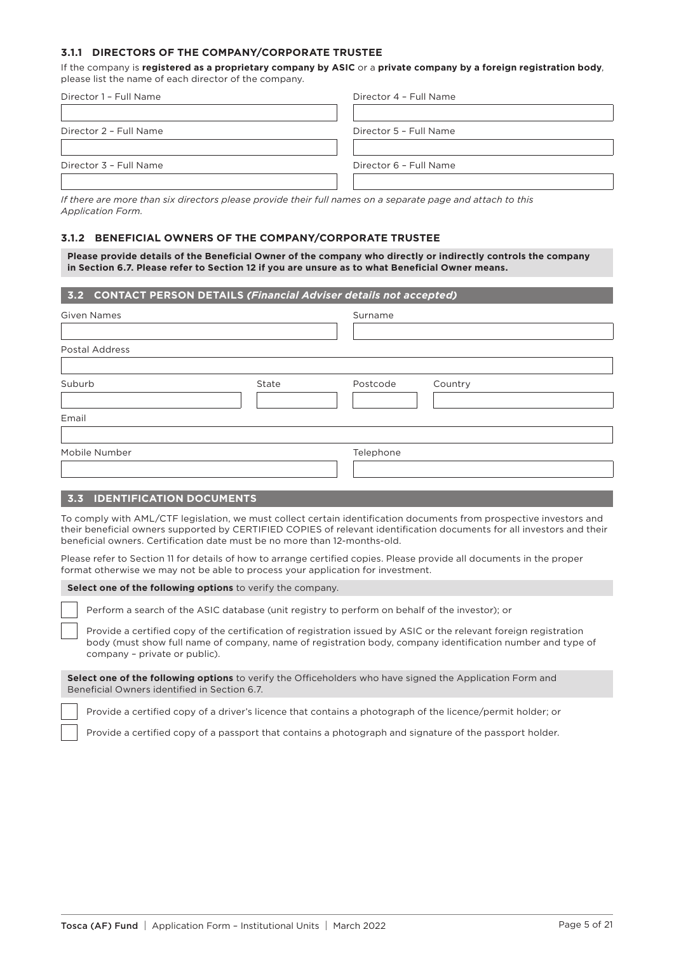## **3.1.1 DIRECTORS OF THE COMPANY/CORPORATE TRUSTEE**

If the company is **registered as a proprietary company by ASIC** or a **private company by a foreign registration body**, please list the name of each director of the company.

| Director 1 - Full Name | Director 4 - Full Name |
|------------------------|------------------------|
|                        |                        |
| Director 2 - Full Name | Director 5 - Full Name |
|                        |                        |
| Director 3 - Full Name | Director 6 - Full Name |
|                        |                        |

*If there are more than six directors please provide their full names on a separate page and attach to this Application Form.*

## **3.1.2 BENEFICIAL OWNERS OF THE COMPANY/CORPORATE TRUSTEE**

**Please provide details of the Beneficial Owner of the company who directly or indirectly controls the company in Section 6.7. Please refer to Section 12 if you are unsure as to what Beneficial Owner means.**

| 3.2 CONTACT PERSON DETAILS (Financial Adviser details not accepted) |       |           |         |  |
|---------------------------------------------------------------------|-------|-----------|---------|--|
| <b>Given Names</b>                                                  |       | Surname   |         |  |
|                                                                     |       |           |         |  |
| <b>Postal Address</b>                                               |       |           |         |  |
|                                                                     |       |           |         |  |
| Suburb                                                              | State | Postcode  | Country |  |
|                                                                     |       |           |         |  |
| Email                                                               |       |           |         |  |
|                                                                     |       |           |         |  |
| Mobile Number                                                       |       | Telephone |         |  |
|                                                                     |       |           |         |  |
|                                                                     |       |           |         |  |

#### **3.3 IDENTIFICATION DOCUMENTS**

To comply with AML/CTF legislation, we must collect certain identification documents from prospective investors and their beneficial owners supported by CERTIFIED COPIES of relevant identification documents for all investors and their beneficial owners. Certification date must be no more than 12-months-old.

Please refer to Section 11 for details of how to arrange certified copies. Please provide all documents in the proper format otherwise we may not be able to process your application for investment.

#### **Select one of the following options** to verify the company.

Perform a search of the ASIC database (unit registry to perform on behalf of the investor); or

Provide a certified copy of the certification of registration issued by ASIC or the relevant foreign registration body (must show full name of company, name of registration body, company identification number and type of company – private or public).

**Select one of the following options** to verify the Officeholders who have signed the Application Form and Beneficial Owners identified in Section 6.7.

Provide a certified copy of a driver's licence that contains a photograph of the licence/permit holder; or

Provide a certified copy of a passport that contains a photograph and signature of the passport holder.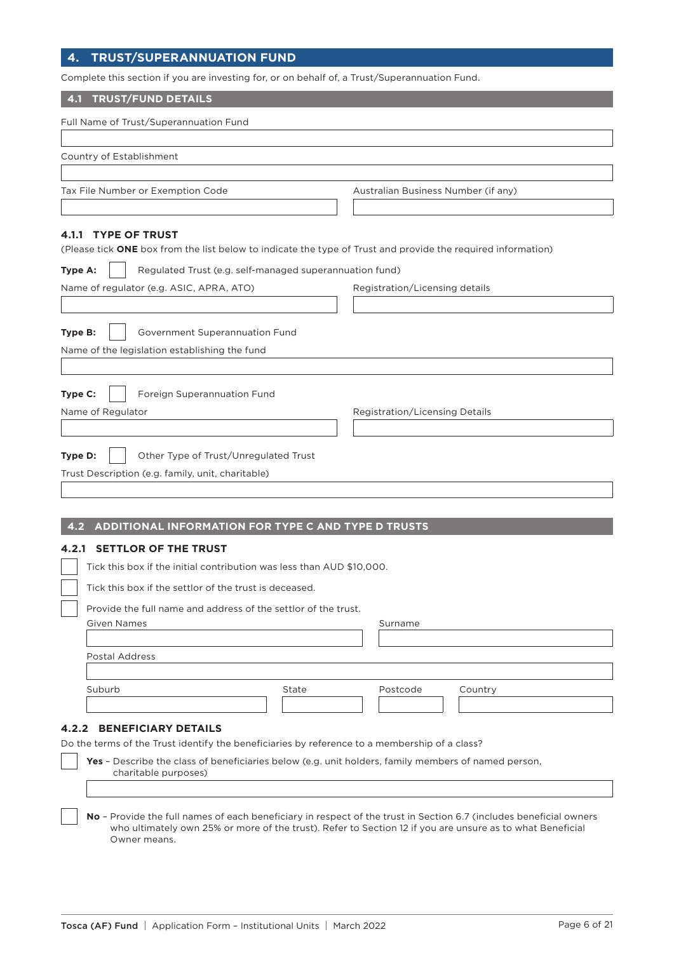# **4. TRUST/SUPERANNUATION FUND**

Complete this section if you are investing for, or on behalf of, a Trust/Superannuation Fund.

## **4.1 TRUST/FUND DETAILS**

| Country of Establishment                                                                                                    |       |                                     |         |
|-----------------------------------------------------------------------------------------------------------------------------|-------|-------------------------------------|---------|
|                                                                                                                             |       |                                     |         |
| Tax File Number or Exemption Code                                                                                           |       | Australian Business Number (if any) |         |
|                                                                                                                             |       |                                     |         |
| 4.1.1 TYPE OF TRUST                                                                                                         |       |                                     |         |
| (Please tick ONE box from the list below to indicate the type of Trust and provide the required information)                |       |                                     |         |
| Regulated Trust (e.g. self-managed superannuation fund)<br>Type A:                                                          |       |                                     |         |
| Name of regulator (e.g. ASIC, APRA, ATO)                                                                                    |       | Registration/Licensing details      |         |
|                                                                                                                             |       |                                     |         |
| Government Superannuation Fund<br>Type B:                                                                                   |       |                                     |         |
| Name of the legislation establishing the fund                                                                               |       |                                     |         |
|                                                                                                                             |       |                                     |         |
|                                                                                                                             |       |                                     |         |
| Foreign Superannuation Fund<br>Type C:                                                                                      |       |                                     |         |
| Name of Regulator                                                                                                           |       | Registration/Licensing Details      |         |
|                                                                                                                             |       |                                     |         |
| Other Type of Trust/Unregulated Trust<br>Type D:                                                                            |       |                                     |         |
| Trust Description (e.g. family, unit, charitable)                                                                           |       |                                     |         |
|                                                                                                                             |       |                                     |         |
|                                                                                                                             |       |                                     |         |
| ADDITIONAL INFORMATION FOR TYPE C AND TYPE D TRUSTS<br>4.2                                                                  |       |                                     |         |
| <b>SETTLOR OF THE TRUST</b><br>4.2.1                                                                                        |       |                                     |         |
|                                                                                                                             |       |                                     |         |
|                                                                                                                             |       |                                     |         |
| Tick this box if the initial contribution was less than AUD \$10,000.                                                       |       |                                     |         |
| Tick this box if the settlor of the trust is deceased.                                                                      |       |                                     |         |
| Provide the full name and address of the settlor of the trust.                                                              |       |                                     |         |
| <b>Given Names</b>                                                                                                          |       | Surname                             |         |
|                                                                                                                             |       |                                     |         |
| <b>Postal Address</b>                                                                                                       |       |                                     |         |
| Suburb                                                                                                                      | State | Postcode                            |         |
|                                                                                                                             |       |                                     | Country |
|                                                                                                                             |       |                                     |         |
| <b>BENEFICIARY DETAILS</b><br>4.2.2                                                                                         |       |                                     |         |
| Do the terms of the Trust identify the beneficiaries by reference to a membership of a class?                               |       |                                     |         |
| Yes - Describe the class of beneficiaries below (e.g. unit holders, family members of named person,<br>charitable purposes) |       |                                     |         |

**No** – Provide the full names of each beneficiary in respect of the trust in Section 6.7 (includes beneficial owners who ultimately own 25% or more of the trust). Refer to Section 12 if you are unsure as to what Beneficial Owner means.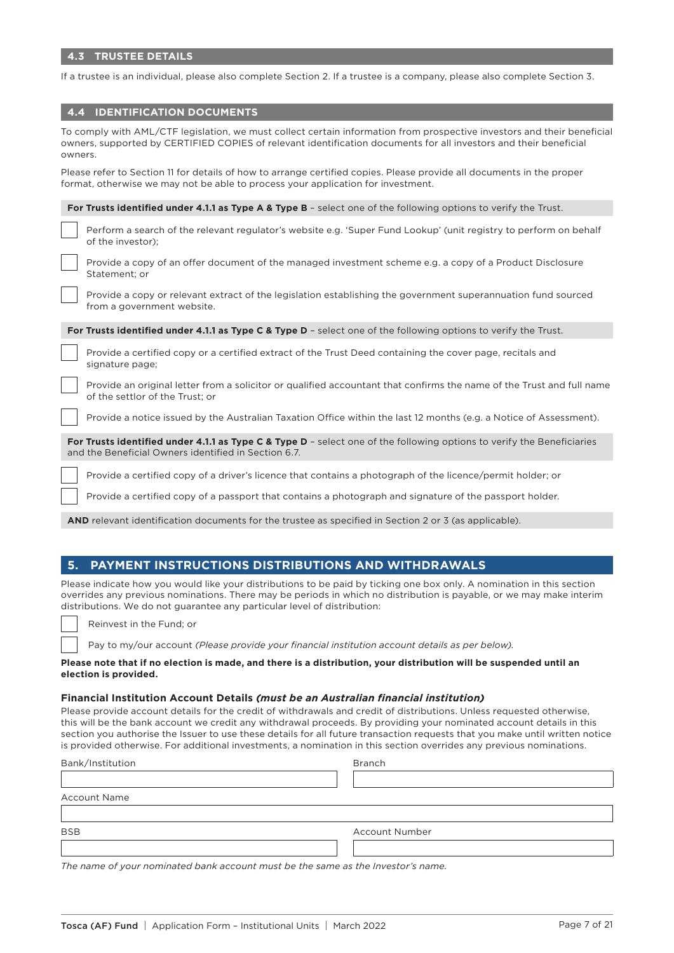If a trustee is an individual, please also complete Section 2. If a trustee is a company, please also complete Section 3.

## **4.4 IDENTIFICATION DOCUMENTS**

| To comply with AML/CTF legislation, we must collect certain information from prospective investors and their beneficial<br>owners, supported by CERTIFIED COPIES of relevant identification documents for all investors and their beneficial<br>owners. |
|---------------------------------------------------------------------------------------------------------------------------------------------------------------------------------------------------------------------------------------------------------|
| Please refer to Section 11 for details of how to arrange certified copies. Please provide all documents in the proper<br>format, otherwise we may not be able to process your application for investment.                                               |
| For Trusts identified under 4.1.1 as Type A & Type B - select one of the following options to verify the Trust.                                                                                                                                         |
| Perform a search of the relevant regulator's website e.g. 'Super Fund Lookup' (unit registry to perform on behalf<br>of the investor);                                                                                                                  |
| Provide a copy of an offer document of the managed investment scheme e.g. a copy of a Product Disclosure<br>Statement; or                                                                                                                               |
| Provide a copy or relevant extract of the legislation establishing the government superannuation fund sourced<br>from a government website.                                                                                                             |
| For Trusts identified under 4.1.1 as Type C & Type D - select one of the following options to verify the Trust.                                                                                                                                         |
| Provide a certified copy or a certified extract of the Trust Deed containing the cover page, recitals and<br>signature page;                                                                                                                            |
| Provide an original letter from a solicitor or qualified accountant that confirms the name of the Trust and full name<br>of the settlor of the Trust: or                                                                                                |
| Provide a notice issued by the Australian Taxation Office within the last 12 months (e.g. a Notice of Assessment).                                                                                                                                      |
| For Trusts identified under 4.1.1 as Type C & Type D - select one of the following options to verify the Beneficiaries<br>and the Beneficial Owners identified in Section 6.7.                                                                          |
| Provide a certified copy of a driver's licence that contains a photograph of the licence/permit holder; or                                                                                                                                              |
| Provide a certified copy of a passport that contains a photograph and signature of the passport holder.                                                                                                                                                 |

**AND** relevant identification documents for the trustee as specified in Section 2 or 3 (as applicable).

### **5. PAYMENT INSTRUCTIONS DISTRIBUTIONS AND WITHDRAWALS**

Please indicate how you would like your distributions to be paid by ticking one box only. A nomination in this section overrides any previous nominations. There may be periods in which no distribution is payable, or we may make interim distributions. We do not guarantee any particular level of distribution:

Reinvest in the Fund; or

Pay to my/our account *(Please provide your financial institution account details as per below).*

#### **Please note that if no election is made, and there is a distribution, your distribution will be suspended until an election is provided.**

#### **Financial Institution Account Details** *(must be an Australian financial institution)*

Please provide account details for the credit of withdrawals and credit of distributions. Unless requested otherwise, this will be the bank account we credit any withdrawal proceeds. By providing your nominated account details in this section you authorise the Issuer to use these details for all future transaction requests that you make until written notice is provided otherwise. For additional investments, a nomination in this section overrides any previous nominations.

| Bank/Institution    | <b>Branch</b>         |  |
|---------------------|-----------------------|--|
|                     |                       |  |
| <b>Account Name</b> |                       |  |
|                     |                       |  |
| <b>BSB</b>          | <b>Account Number</b> |  |
|                     |                       |  |

*The name of your nominated bank account must be the same as the Investor's name.*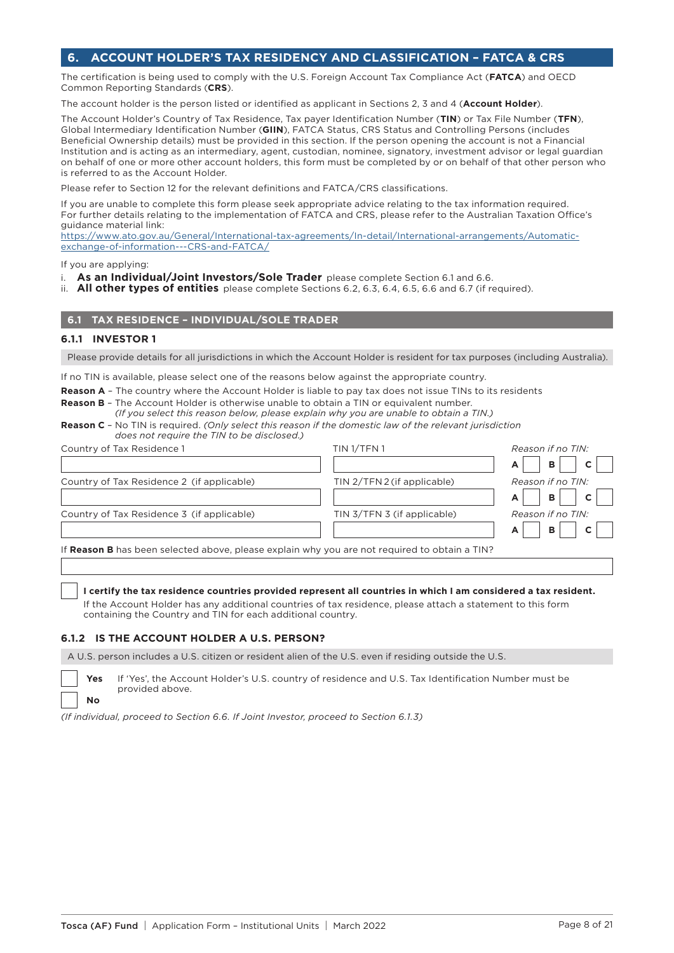# **6. ACCOUNT HOLDER'S TAX RESIDENCY AND CLASSIFICATION – FATCA & CRS**

The certification is being used to comply with the U.S. Foreign Account Tax Compliance Act (**FATCA**) and OECD Common Reporting Standards (**CRS**).

The account holder is the person listed or identified as applicant in Sections 2, 3 and 4 (**Account Holder**).

The Account Holder's Country of Tax Residence, Tax payer Identification Number (**TIN**) or Tax File Number (**TFN**), Global Intermediary Identification Number (**GIIN**), FATCA Status, CRS Status and Controlling Persons (includes Beneficial Ownership details) must be provided in this section. If the person opening the account is not a Financial Institution and is acting as an intermediary, agent, custodian, nominee, signatory, investment advisor or legal guardian on behalf of one or more other account holders, this form must be completed by or on behalf of that other person who is referred to as the Account Holder.

Please refer to Section 12 for the relevant definitions and FATCA/CRS classifications.

If you are unable to complete this form please seek appropriate advice relating to the tax information required. For further details relating to the implementation of FATCA and CRS, please refer to the Australian Taxation Office's guidance material link:

[https://www.ato.gov.au/General/International-tax-agreements/In-detail/International-arrangements/Automatic](https://www.ato.gov.au/General/International-tax-agreements/In-detail/International-arrangements/Automatic-exchange-of-information---CRS-and-FATCA/)[exchange-of-information---CRS-and-FATCA/](https://www.ato.gov.au/General/International-tax-agreements/In-detail/International-arrangements/Automatic-exchange-of-information---CRS-and-FATCA/)

If you are applying:

- i. **As an Individual/Joint Investors/Sole Trader** please complete Section 6.1 and 6.6.
- ii. **All other types of entities** please complete Sections 6.2, 6.3, 6.4, 6.5, 6.6 and 6.7 (if required).

# **6.1 TAX RESIDENCE – INDIVIDUAL/SOLE TRADER**

#### **6.1.1 INVESTOR 1**

**No**

Please provide details for all jurisdictions in which the Account Holder is resident for tax purposes (including Australia).

If no TIN is available, please select one of the reasons below against the appropriate country.

**Reason A** - The country where the Account Holder is liable to pay tax does not issue TINs to its residents

**Reason B** – The Account Holder is otherwise unable to obtain a TIN or equivalent number. *(If you select this reason below, please explain why you are unable to obtain a TIN.)*

| <b>Reason C</b> - No TIN is required. (Only select this reason if the domestic law of the relevant jurisdiction |  |  |
|-----------------------------------------------------------------------------------------------------------------|--|--|
| does not require the TIN to be disclosed.)                                                                      |  |  |

| Country of Tax Residence 1                                                                    | TIN <sub>1</sub> /TFN <sub>1</sub> | Reason if no TIN: |
|-----------------------------------------------------------------------------------------------|------------------------------------|-------------------|
|                                                                                               |                                    | B<br>A            |
| Country of Tax Residence 2 (if applicable)                                                    | TIN 2/TFN 2 (if applicable)        | Reason if no TIN: |
|                                                                                               |                                    | B<br>A            |
| Country of Tax Residence 3 (if applicable)                                                    | TIN 3/TFN 3 (if applicable)        | Reason if no TIN: |
|                                                                                               |                                    | B                 |
| If Reason B has been selected above, please explain why you are not required to obtain a TIN? |                                    |                   |
|                                                                                               |                                    |                   |

#### **I certify the tax residence countries provided represent all countries in which I am considered a tax resident.**

If the Account Holder has any additional countries of tax residence, please attach a statement to this form containing the Country and TIN for each additional country.

#### **6.1.2 IS THE ACCOUNT HOLDER A U.S. PERSON?**

A U.S. person includes a U.S. citizen or resident alien of the U.S. even if residing outside the U.S.

**Yes** If 'Yes', the Account Holder's U.S. country of residence and U.S. Tax Identification Number must be provided above.

*(If individual, proceed to Section 6.6. If Joint Investor, proceed to Section 6.1.3)*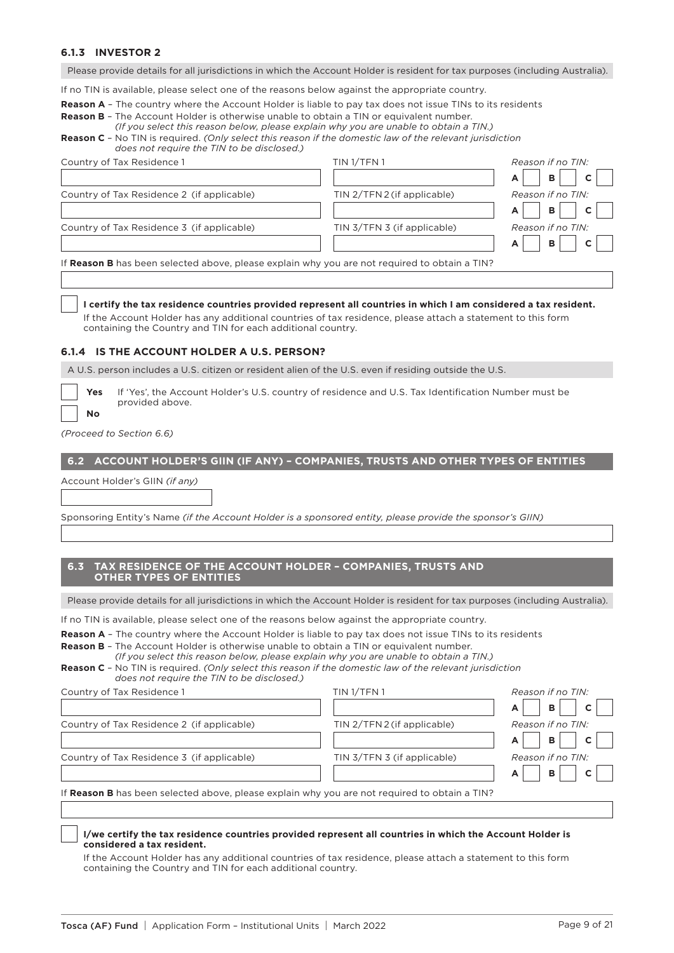## **6.1.3 INVESTOR 2**

Please provide details for all jurisdictions in which the Account Holder is resident for tax purposes (including Australia).

If no TIN is available, please select one of the reasons below against the appropriate country.

**Reason A** – The country where the Account Holder is liable to pay tax does not issue TINs to its residents

**Reason B** – The Account Holder is otherwise unable to obtain a TIN or equivalent number. *(If you select this reason below, please explain why you are unable to obtain a TIN.)*

| <b>Reason C</b> - No TIN is required. (Only select this reason if the domestic law of the relevant jurisdiction |
|-----------------------------------------------------------------------------------------------------------------|
| does not require the TIN to be disclosed.)                                                                      |

| Country of Tax Residence 1                                                                    | TIN 1/TFN 1                 | Reason if no TIN: |
|-----------------------------------------------------------------------------------------------|-----------------------------|-------------------|
|                                                                                               |                             | B<br>A            |
| Country of Tax Residence 2 (if applicable)                                                    | TIN 2/TFN 2 (if applicable) | Reason if no TIN: |
|                                                                                               |                             | B<br>A            |
| Country of Tax Residence 3 (if applicable)                                                    | TIN 3/TFN 3 (if applicable) | Reason if no TIN: |
|                                                                                               |                             | B<br>A            |
| If Reason B has been selected above, please explain why you are not required to obtain a TIN? |                             |                   |
|                                                                                               |                             |                   |

#### **I certify the tax residence countries provided represent all countries in which I am considered a tax resident.**

If the Account Holder has any additional countries of tax residence, please attach a statement to this form containing the Country and TIN for each additional country.

#### **6.1.4 IS THE ACCOUNT HOLDER A U.S. PERSON?**

A U.S. person includes a U.S. citizen or resident alien of the U.S. even if residing outside the U.S.

| Y۵     |
|--------|
| O<br>N |

**Yes** If 'Yes', the Account Holder's U.S. country of residence and U.S. Tax Identification Number must be provided above.

*(Proceed to Section 6.6)*

#### **6.2 ACCOUNT HOLDER'S GIIN (IF ANY) – COMPANIES, TRUSTS AND OTHER TYPES OF ENTITIES**

Account Holder's GIIN *(if any)*

Sponsoring Entity's Name *(if the Account Holder is a sponsored entity, please provide the sponsor's GIIN)*

### **6.3 TAX RESIDENCE OF THE ACCOUNT HOLDER – COMPANIES, TRUSTS AND OTHER TYPES OF ENTITIES**

Please provide details for all jurisdictions in which the Account Holder is resident for tax purposes (including Australia).

If no TIN is available, please select one of the reasons below against the appropriate country.

**Reason A** – The country where the Account Holder is liable to pay tax does not issue TINs to its residents

**Reason B** – The Account Holder is otherwise unable to obtain a TIN or equivalent number. *(If you select this reason below, please explain why you are unable to obtain a TIN.)*

| <b>Reason C</b> - No TIN is required. (Only select this reason if the domestic law of the relevant jurisdiction |
|-----------------------------------------------------------------------------------------------------------------|
| does not require the TIN to be disclosed.)                                                                      |

| Country of Tax Residence 1                                                                    | TIN <sub>1/TFN1</sub>       | Reason if no TIN:      |
|-----------------------------------------------------------------------------------------------|-----------------------------|------------------------|
|                                                                                               |                             | B<br>A                 |
| Country of Tax Residence 2 (if applicable)                                                    | TIN 2/TFN 2 (if applicable) | Reason if no TIN:      |
|                                                                                               |                             | B.<br>A                |
| Country of Tax Residence 3 (if applicable)                                                    | TIN 3/TFN 3 (if applicable) | Reason if no TIN:      |
|                                                                                               |                             | B<br>$\mathbf{C}$<br>A |
| If Reason B has been selected above, please explain why you are not required to obtain a TIN? |                             |                        |

#### **I/we certify the tax residence countries provided represent all countries in which the Account Holder is considered a tax resident.**

If the Account Holder has any additional countries of tax residence, please attach a statement to this form containing the Country and TIN for each additional country.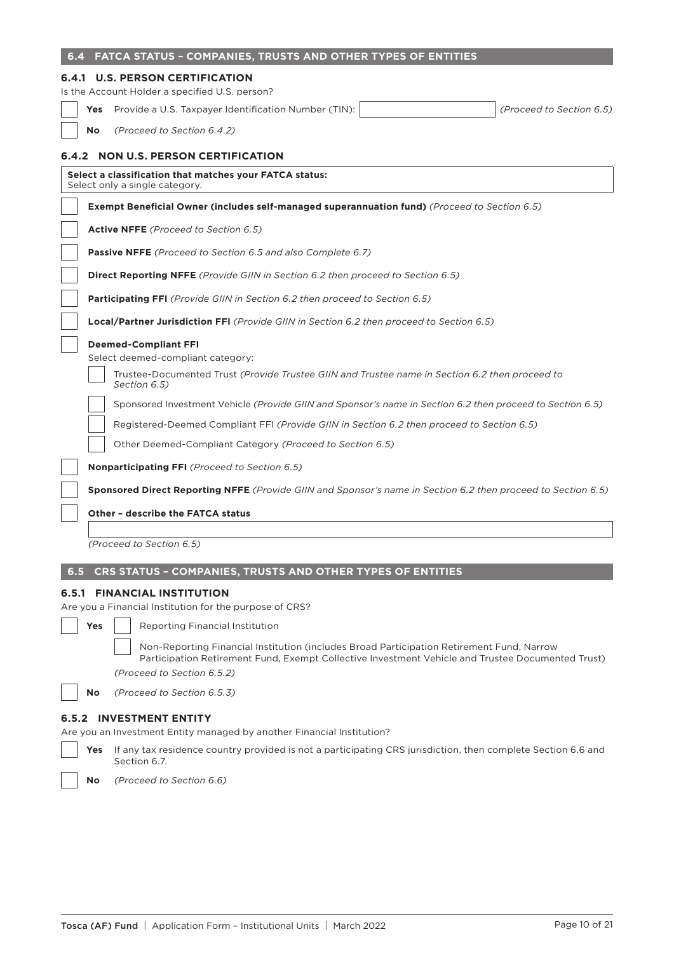| 6.4                                                                    |            | FATCA STATUS - COMPANIES, TRUSTS AND OTHER TYPES OF ENTITIES                                                                                                                                                                 |  |  |
|------------------------------------------------------------------------|------------|------------------------------------------------------------------------------------------------------------------------------------------------------------------------------------------------------------------------------|--|--|
|                                                                        |            | <b>6.4.1 U.S. PERSON CERTIFICATION</b>                                                                                                                                                                                       |  |  |
|                                                                        |            | Is the Account Holder a specified U.S. person?                                                                                                                                                                               |  |  |
|                                                                        |            | Yes Provide a U.S. Taxpayer Identification Number (TIN):<br>(Proceed to Section 6.5)                                                                                                                                         |  |  |
|                                                                        | <b>No</b>  | (Proceed to Section 6.4.2)                                                                                                                                                                                                   |  |  |
|                                                                        |            | 6.4.2 NON U.S. PERSON CERTIFICATION                                                                                                                                                                                          |  |  |
|                                                                        |            | Select a classification that matches your FATCA status:<br>Select only a single category.                                                                                                                                    |  |  |
|                                                                        |            | <b>Exempt Beneficial Owner (includes self-managed superannuation fund)</b> (Proceed to Section 6.5)                                                                                                                          |  |  |
|                                                                        |            | Active NFFE (Proceed to Section 6.5)                                                                                                                                                                                         |  |  |
|                                                                        |            | <b>Passive NFFE</b> (Proceed to Section 6.5 and also Complete 6.7)                                                                                                                                                           |  |  |
|                                                                        |            | <b>Direct Reporting NFFE</b> (Provide GIIN in Section 6.2 then proceed to Section 6.5)                                                                                                                                       |  |  |
|                                                                        |            | Participating FFI (Provide GIIN in Section 6.2 then proceed to Section 6.5)                                                                                                                                                  |  |  |
|                                                                        |            | <b>Local/Partner Jurisdiction FFI</b> (Provide GIIN in Section 6.2 then proceed to Section 6.5)                                                                                                                              |  |  |
|                                                                        |            | <b>Deemed-Compliant FFI</b>                                                                                                                                                                                                  |  |  |
|                                                                        |            | Select deemed-compliant category:                                                                                                                                                                                            |  |  |
|                                                                        |            | Trustee-Documented Trust (Provide Trustee GIIN and Trustee name in Section 6.2 then proceed to<br>Section 6.5)                                                                                                               |  |  |
|                                                                        |            | Sponsored Investment Vehicle (Provide GIIN and Sponsor's name in Section 6.2 then proceed to Section 6.5)                                                                                                                    |  |  |
|                                                                        |            | Registered-Deemed Compliant FFI (Provide GIIN in Section 6.2 then proceed to Section 6.5)                                                                                                                                    |  |  |
|                                                                        |            | Other Deemed-Compliant Category (Proceed to Section 6.5)                                                                                                                                                                     |  |  |
|                                                                        |            | <b>Nonparticipating FFI</b> (Proceed to Section 6.5)                                                                                                                                                                         |  |  |
|                                                                        |            | Sponsored Direct Reporting NFFE (Provide GIIN and Sponsor's name in Section 6.2 then proceed to Section 6.5)                                                                                                                 |  |  |
|                                                                        |            | <b>Other - describe the FATCA status</b>                                                                                                                                                                                     |  |  |
|                                                                        |            |                                                                                                                                                                                                                              |  |  |
|                                                                        |            | (Proceed to Section 6.5)                                                                                                                                                                                                     |  |  |
| 6.5                                                                    |            | CRS STATUS - COMPANIES, TRUSTS AND OTHER TYPES OF ENTITIES                                                                                                                                                                   |  |  |
|                                                                        |            | <b>6.5.1 FINANCIAL INSTITUTION</b>                                                                                                                                                                                           |  |  |
|                                                                        |            | Are you a Financial Institution for the purpose of CRS?                                                                                                                                                                      |  |  |
|                                                                        | <b>Yes</b> | <b>Reporting Financial Institution</b>                                                                                                                                                                                       |  |  |
|                                                                        |            | Non-Reporting Financial Institution (includes Broad Participation Retirement Fund, Narrow<br>Participation Retirement Fund, Exempt Collective Investment Vehicle and Trustee Documented Trust)<br>(Proceed to Section 6.5.2) |  |  |
|                                                                        | No         | (Proceed to Section 6.5.3)                                                                                                                                                                                                   |  |  |
| <b>INVESTMENT ENTITY</b><br>6.5.2                                      |            |                                                                                                                                                                                                                              |  |  |
| Are you an Investment Entity managed by another Financial Institution? |            |                                                                                                                                                                                                                              |  |  |
|                                                                        | Yes        | If any tax residence country provided is not a participating CRS jurisdiction, then complete Section 6.6 and<br>Section 6.7.                                                                                                 |  |  |
|                                                                        | No         | (Proceed to Section 6.6)                                                                                                                                                                                                     |  |  |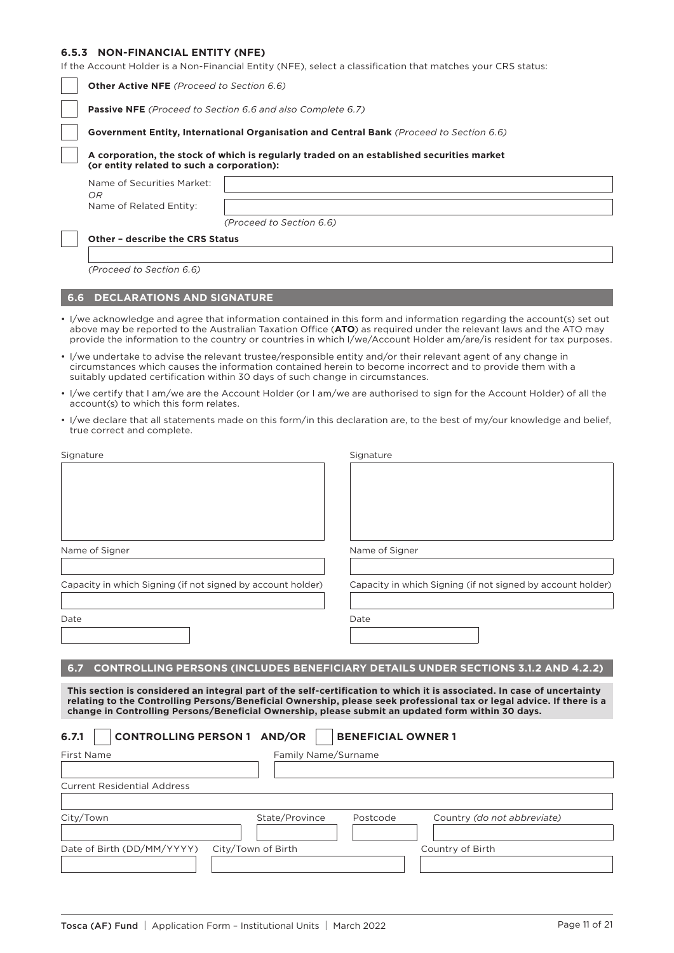## **6.5.3 NON-FINANCIAL ENTITY (NFE)**

**O.3.3 NON-FINANCIAL ENIIIY (NFE)**<br>If the Account Holder is a Non-Financial Entity (NFE), select a classification that matches your CRS sta

|                                                                                                                                                                                                                                                                                                                                                       | If the Account Holder is a Non-Financial Entity (NFE), select a classification that matches your CRS status: |                          |                                                                                                                                                                                                                                                                                                                                                                     |  |
|-------------------------------------------------------------------------------------------------------------------------------------------------------------------------------------------------------------------------------------------------------------------------------------------------------------------------------------------------------|--------------------------------------------------------------------------------------------------------------|--------------------------|---------------------------------------------------------------------------------------------------------------------------------------------------------------------------------------------------------------------------------------------------------------------------------------------------------------------------------------------------------------------|--|
|                                                                                                                                                                                                                                                                                                                                                       | <b>Other Active NFE</b> (Proceed to Section 6.6)                                                             |                          |                                                                                                                                                                                                                                                                                                                                                                     |  |
|                                                                                                                                                                                                                                                                                                                                                       | Passive NFE (Proceed to Section 6.6 and also Complete 6.7)                                                   |                          |                                                                                                                                                                                                                                                                                                                                                                     |  |
|                                                                                                                                                                                                                                                                                                                                                       | Government Entity, International Organisation and Central Bank (Proceed to Section 6.6)                      |                          |                                                                                                                                                                                                                                                                                                                                                                     |  |
|                                                                                                                                                                                                                                                                                                                                                       | (or entity related to such a corporation):                                                                   |                          | A corporation, the stock of which is regularly traded on an established securities market                                                                                                                                                                                                                                                                           |  |
|                                                                                                                                                                                                                                                                                                                                                       | Name of Securities Market:<br>OR                                                                             |                          |                                                                                                                                                                                                                                                                                                                                                                     |  |
|                                                                                                                                                                                                                                                                                                                                                       | Name of Related Entity:                                                                                      |                          |                                                                                                                                                                                                                                                                                                                                                                     |  |
|                                                                                                                                                                                                                                                                                                                                                       |                                                                                                              | (Proceed to Section 6.6) |                                                                                                                                                                                                                                                                                                                                                                     |  |
|                                                                                                                                                                                                                                                                                                                                                       | Other - describe the CRS Status                                                                              |                          |                                                                                                                                                                                                                                                                                                                                                                     |  |
|                                                                                                                                                                                                                                                                                                                                                       |                                                                                                              |                          |                                                                                                                                                                                                                                                                                                                                                                     |  |
|                                                                                                                                                                                                                                                                                                                                                       | (Proceed to Section 6.6)                                                                                     |                          |                                                                                                                                                                                                                                                                                                                                                                     |  |
| 6.6                                                                                                                                                                                                                                                                                                                                                   | <b>DECLARATIONS AND SIGNATURE</b>                                                                            |                          |                                                                                                                                                                                                                                                                                                                                                                     |  |
|                                                                                                                                                                                                                                                                                                                                                       |                                                                                                              |                          | • I/we acknowledge and agree that information contained in this form and information regarding the account(s) set out<br>above may be reported to the Australian Taxation Office (ATO) as required under the relevant laws and the ATO may<br>provide the information to the country or countries in which I/we/Account Holder am/are/is resident for tax purposes. |  |
|                                                                                                                                                                                                                                                                                                                                                       | suitably updated certification within 30 days of such change in circumstances.                               |                          | • I/we undertake to advise the relevant trustee/responsible entity and/or their relevant agent of any change in<br>circumstances which causes the information contained herein to become incorrect and to provide them with a                                                                                                                                       |  |
|                                                                                                                                                                                                                                                                                                                                                       | account(s) to which this form relates.                                                                       |                          | • I/we certify that I am/we are the Account Holder (or I am/we are authorised to sign for the Account Holder) of all the                                                                                                                                                                                                                                            |  |
|                                                                                                                                                                                                                                                                                                                                                       | true correct and complete.                                                                                   |                          | • I/we declare that all statements made on this form/in this declaration are, to the best of my/our knowledge and belief,                                                                                                                                                                                                                                           |  |
|                                                                                                                                                                                                                                                                                                                                                       | Signature                                                                                                    |                          | Signature                                                                                                                                                                                                                                                                                                                                                           |  |
|                                                                                                                                                                                                                                                                                                                                                       |                                                                                                              |                          |                                                                                                                                                                                                                                                                                                                                                                     |  |
|                                                                                                                                                                                                                                                                                                                                                       | Name of Signer                                                                                               |                          | Name of Signer                                                                                                                                                                                                                                                                                                                                                      |  |
|                                                                                                                                                                                                                                                                                                                                                       | Capacity in which Signing (if not signed by account holder)                                                  |                          | Capacity in which Signing (if not signed by account holder)                                                                                                                                                                                                                                                                                                         |  |
| Date                                                                                                                                                                                                                                                                                                                                                  |                                                                                                              |                          | Date                                                                                                                                                                                                                                                                                                                                                                |  |
|                                                                                                                                                                                                                                                                                                                                                       |                                                                                                              |                          |                                                                                                                                                                                                                                                                                                                                                                     |  |
| 6.7                                                                                                                                                                                                                                                                                                                                                   |                                                                                                              |                          | <b>CONTROLLING PERSONS (INCLUDES BENEFICIARY DETAILS UNDER SECTIONS 3.1.2 AND 4.2.2)</b>                                                                                                                                                                                                                                                                            |  |
| This section is considered an integral part of the self-certification to which it is associated. In case of uncertainty<br>relating to the Controlling Persons/Beneficial Ownership, please seek professional tax or legal advice. If there is a<br>change in Controlling Persons/Beneficial Ownership, please submit an updated form within 30 days. |                                                                                                              |                          |                                                                                                                                                                                                                                                                                                                                                                     |  |
| 6.7.1                                                                                                                                                                                                                                                                                                                                                 | <b>CONTROLLING PERSON 1 AND/OR</b>                                                                           |                          | <b>BENEFICIAL OWNER 1</b>                                                                                                                                                                                                                                                                                                                                           |  |
|                                                                                                                                                                                                                                                                                                                                                       | First Name                                                                                                   | Family Name/Surname      |                                                                                                                                                                                                                                                                                                                                                                     |  |
|                                                                                                                                                                                                                                                                                                                                                       | <b>Current Residential Address</b>                                                                           |                          |                                                                                                                                                                                                                                                                                                                                                                     |  |
|                                                                                                                                                                                                                                                                                                                                                       |                                                                                                              |                          |                                                                                                                                                                                                                                                                                                                                                                     |  |
|                                                                                                                                                                                                                                                                                                                                                       | City/Town                                                                                                    | State/Province           | Postcode<br>Country (do not abbreviate)                                                                                                                                                                                                                                                                                                                             |  |
|                                                                                                                                                                                                                                                                                                                                                       | Date of Birth (DD/MM/YYYY)                                                                                   | City/Town of Birth       | Country of Birth                                                                                                                                                                                                                                                                                                                                                    |  |
|                                                                                                                                                                                                                                                                                                                                                       |                                                                                                              |                          |                                                                                                                                                                                                                                                                                                                                                                     |  |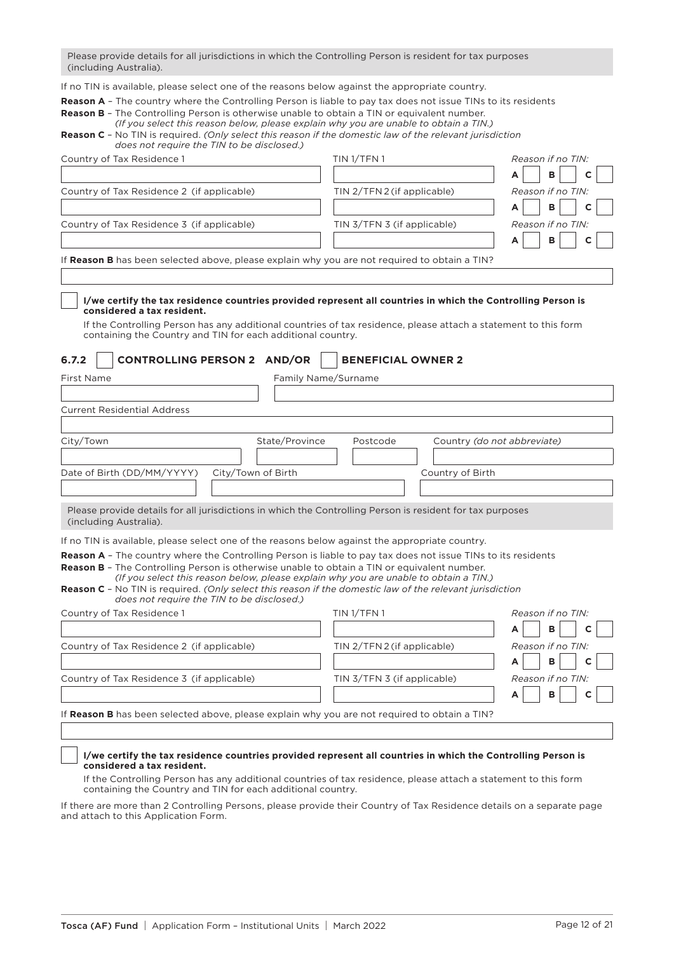Please provide details for all jurisdictions in which the Controlling Person is resident for tax purposes (including Australia).

If no TIN is available, please select one of the reasons below against the appropriate country.

**Reason A** – The country where the Controlling Person is liable to pay tax does not issue TINs to its residents

| <b>Reason B</b> - The Controlling Person is otherwise unable to obtain a TIN or equivalent number.              |
|-----------------------------------------------------------------------------------------------------------------|
| (If you select this reason below, please explain why you are unable to obtain a TIN.)                           |
| <b>Reason C</b> - No TIN is required. (Only select this reason if the domestic law of the relevant jurisdiction |
| does not require the TIN to be disclosed.)                                                                      |

| Country of Tax Residence 1                                                                                                                                                                                                                                                                                                                                                                                                                                                           | TIN <sub>1</sub> /TFN <sub>1</sub>      | Reason if no TIN: |  |
|--------------------------------------------------------------------------------------------------------------------------------------------------------------------------------------------------------------------------------------------------------------------------------------------------------------------------------------------------------------------------------------------------------------------------------------------------------------------------------------|-----------------------------------------|-------------------|--|
|                                                                                                                                                                                                                                                                                                                                                                                                                                                                                      |                                         | в<br>А            |  |
| Country of Tax Residence 2 (if applicable)                                                                                                                                                                                                                                                                                                                                                                                                                                           | TIN 2/TFN 2 (if applicable)             | Reason if no TIN: |  |
|                                                                                                                                                                                                                                                                                                                                                                                                                                                                                      |                                         | в<br>A            |  |
| Country of Tax Residence 3 (if applicable)                                                                                                                                                                                                                                                                                                                                                                                                                                           | TIN 3/TFN 3 (if applicable)             | Reason if no TIN: |  |
|                                                                                                                                                                                                                                                                                                                                                                                                                                                                                      |                                         | B<br>C            |  |
| If Reason B has been selected above, please explain why you are not required to obtain a TIN?                                                                                                                                                                                                                                                                                                                                                                                        |                                         |                   |  |
| I/we certify the tax residence countries provided represent all countries in which the Controlling Person is<br>considered a tax resident.<br>If the Controlling Person has any additional countries of tax residence, please attach a statement to this form<br>containing the Country and TIN for each additional country.                                                                                                                                                         |                                         |                   |  |
| 6.7.2<br><b>CONTROLLING PERSON 2 AND/OR</b>                                                                                                                                                                                                                                                                                                                                                                                                                                          | <b>BENEFICIAL OWNER 2</b>               |                   |  |
| <b>First Name</b><br>Family Name/Surname                                                                                                                                                                                                                                                                                                                                                                                                                                             |                                         |                   |  |
|                                                                                                                                                                                                                                                                                                                                                                                                                                                                                      |                                         |                   |  |
| <b>Current Residential Address</b>                                                                                                                                                                                                                                                                                                                                                                                                                                                   |                                         |                   |  |
| City/Town<br>State/Province                                                                                                                                                                                                                                                                                                                                                                                                                                                          | Postcode<br>Country (do not abbreviate) |                   |  |
|                                                                                                                                                                                                                                                                                                                                                                                                                                                                                      |                                         |                   |  |
| Date of Birth (DD/MM/YYYY)<br>City/Town of Birth                                                                                                                                                                                                                                                                                                                                                                                                                                     | Country of Birth                        |                   |  |
|                                                                                                                                                                                                                                                                                                                                                                                                                                                                                      |                                         |                   |  |
| Please provide details for all jurisdictions in which the Controlling Person is resident for tax purposes<br>(including Australia).                                                                                                                                                                                                                                                                                                                                                  |                                         |                   |  |
| If no TIN is available, please select one of the reasons below against the appropriate country.                                                                                                                                                                                                                                                                                                                                                                                      |                                         |                   |  |
| <b>Reason A</b> - The country where the Controlling Person is liable to pay tax does not issue TINs to its residents<br><b>Reason B -</b> The Controlling Person is otherwise unable to obtain a TIN or equivalent number.<br>(If you select this reason below, please explain why you are unable to obtain a TIN.)<br><b>Reason C</b> - No TIN is required. (Only select this reason if the domestic law of the relevant jurisdiction<br>does not require the TIN to be disclosed.) |                                         |                   |  |
| Country of Tax Residence 1                                                                                                                                                                                                                                                                                                                                                                                                                                                           | TIN 1/TFN 1                             | Reason if no TIN: |  |
|                                                                                                                                                                                                                                                                                                                                                                                                                                                                                      |                                         | в                 |  |
| Country of Tax Residence 2 (if applicable)                                                                                                                                                                                                                                                                                                                                                                                                                                           | TIN 2/TFN 2 (if applicable)             | Reason if no TIN: |  |
|                                                                                                                                                                                                                                                                                                                                                                                                                                                                                      |                                         | в<br>A            |  |
| Country of Tax Residence 3 (if applicable)                                                                                                                                                                                                                                                                                                                                                                                                                                           | TIN 3/TFN 3 (if applicable)             | Reason if no TIN: |  |
|                                                                                                                                                                                                                                                                                                                                                                                                                                                                                      |                                         | в                 |  |
| If Reason B has been selected above, please explain why you are not required to obtain a TIN?                                                                                                                                                                                                                                                                                                                                                                                        |                                         |                   |  |

### **I/we certify the tax residence countries provided represent all countries in which the Controlling Person is considered a tax resident.**

If the Controlling Person has any additional countries of tax residence, please attach a statement to this form containing the Country and TIN for each additional country.

If there are more than 2 Controlling Persons, please provide their Country of Tax Residence details on a separate page and attach to this Application Form.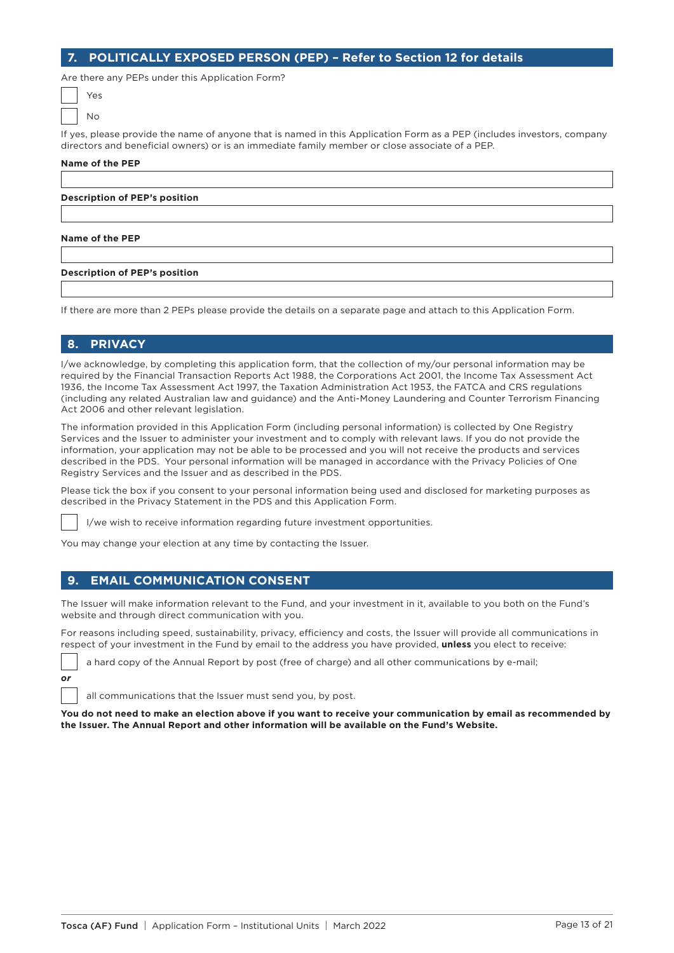## **7. POLITICALLY EXPOSED PERSON (PEP) – Refer to Section 12 for details**

Are there any PEPs under this Application Form?

| Yes |
|-----|
| ٩o  |

If yes, please provide the name of anyone that is named in this Application Form as a PEP (includes investors, company directors and beneficial owners) or is an immediate family member or close associate of a PEP.

#### **Name of the PEP**

**Description of PEP's position**

#### **Name of the PEP**

#### **Description of PEP's position**

If there are more than 2 PEPs please provide the details on a separate page and attach to this Application Form.

## **8. PRIVACY**

*or*

I/we acknowledge, by completing this application form, that the collection of my/our personal information may be required by the Financial Transaction Reports Act 1988, the Corporations Act 2001, the Income Tax Assessment Act 1936, the Income Tax Assessment Act 1997, the Taxation Administration Act 1953, the FATCA and CRS regulations (including any related Australian law and guidance) and the Anti-Money Laundering and Counter Terrorism Financing Act 2006 and other relevant legislation.

The information provided in this Application Form (including personal information) is collected by One Registry Services and the Issuer to administer your investment and to comply with relevant laws. If you do not provide the information, your application may not be able to be processed and you will not receive the products and services described in the PDS. Your personal information will be managed in accordance with the Privacy Policies of One Registry Services and the Issuer and as described in the PDS.

Please tick the box if you consent to your personal information being used and disclosed for marketing purposes as described in the Privacy Statement in the PDS and this Application Form.

I/we wish to receive information regarding future investment opportunities.

You may change your election at any time by contacting the Issuer.

#### **9. EMAIL COMMUNICATION CONSENT**

The Issuer will make information relevant to the Fund, and your investment in it, available to you both on the Fund's website and through direct communication with you.

For reasons including speed, sustainability, privacy, efficiency and costs, the Issuer will provide all communications in respect of your investment in the Fund by email to the address you have provided, **unless** you elect to receive:

a hard copy of the Annual Report by post (free of charge) and all other communications by e-mail;

all communications that the Issuer must send you, by post.

**You do not need to make an election above if you want to receive your communication by email as recommended by the Issuer. The Annual Report and other information will be available on the Fund's Website.**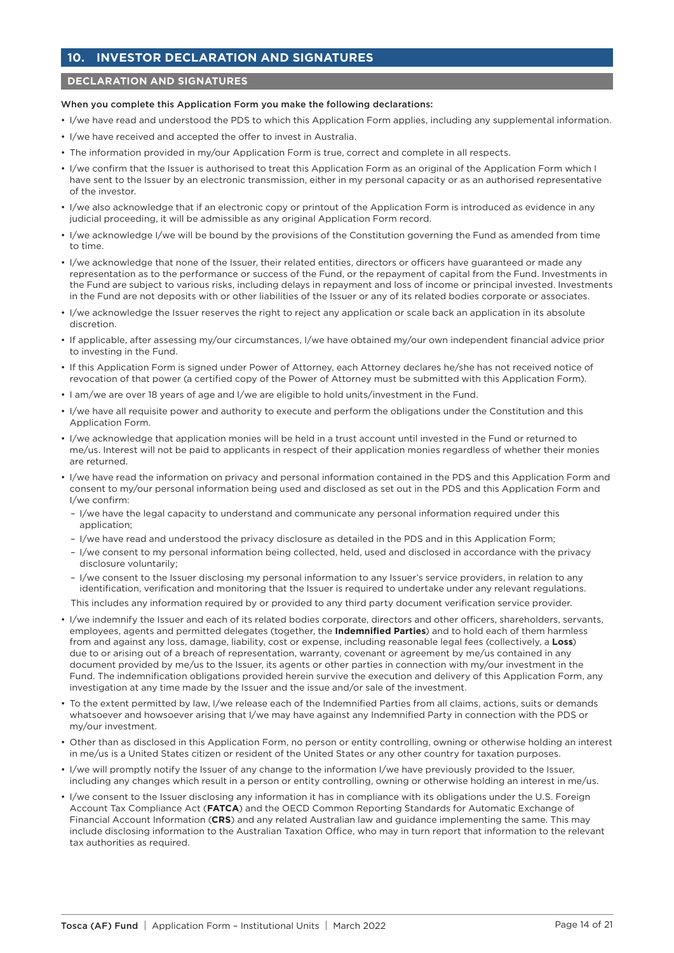# **10. INVESTOR DECLARATION AND SIGNATURES**

## **DECLARATION AND SIGNATURES**

#### When you complete this Application Form you make the following declarations:

- I/we have read and understood the PDS to which this Application Form applies, including any supplemental information.
- I/we have received and accepted the offer to invest in Australia.
- The information provided in my/our Application Form is true, correct and complete in all respects.
- I/we confirm that the Issuer is authorised to treat this Application Form as an original of the Application Form which I have sent to the Issuer by an electronic transmission, either in my personal capacity or as an authorised representative of the investor.
- I/we also acknowledge that if an electronic copy or printout of the Application Form is introduced as evidence in any judicial proceeding, it will be admissible as any original Application Form record.
- I/we acknowledge I/we will be bound by the provisions of the Constitution governing the Fund as amended from time to time.
- I/we acknowledge that none of the Issuer, their related entities, directors or officers have guaranteed or made any representation as to the performance or success of the Fund, or the repayment of capital from the Fund. Investments in the Fund are subject to various risks, including delays in repayment and loss of income or principal invested. Investments in the Fund are not deposits with or other liabilities of the Issuer or any of its related bodies corporate or associates.
- I/we acknowledge the Issuer reserves the right to reject any application or scale back an application in its absolute discretion.
- If applicable, after assessing my/our circumstances, I/we have obtained my/our own independent financial advice prior to investing in the Fund.
- If this Application Form is signed under Power of Attorney, each Attorney declares he/she has not received notice of revocation of that power (a certified copy of the Power of Attorney must be submitted with this Application Form).
- I am/we are over 18 years of age and I/we are eligible to hold units/investment in the Fund.
- I/we have all requisite power and authority to execute and perform the obligations under the Constitution and this Application Form.
- I/we acknowledge that application monies will be held in a trust account until invested in the Fund or returned to me/us. Interest will not be paid to applicants in respect of their application monies regardless of whether their monies are returned.
- I/we have read the information on privacy and personal information contained in the PDS and this Application Form and consent to my/our personal information being used and disclosed as set out in the PDS and this Application Form and I/we confirm:
	- I/we have the legal capacity to understand and communicate any personal information required under this application;
	- I/we have read and understood the privacy disclosure as detailed in the PDS and in this Application Form;
	- I/we consent to my personal information being collected, held, used and disclosed in accordance with the privacy disclosure voluntarily;
	- I/we consent to the Issuer disclosing my personal information to any Issuer's service providers, in relation to any identification, verification and monitoring that the Issuer is required to undertake under any relevant regulations.

This includes any information required by or provided to any third party document verification service provider.

- I/we indemnify the Issuer and each of its related bodies corporate, directors and other officers, shareholders, servants, employees, agents and permitted delegates (together, the **Indemnified Parties**) and to hold each of them harmless from and against any loss, damage, liability, cost or expense, including reasonable legal fees (collectively, a **Loss**) due to or arising out of a breach of representation, warranty, covenant or agreement by me/us contained in any document provided by me/us to the Issuer, its agents or other parties in connection with my/our investment in the Fund. The indemnification obligations provided herein survive the execution and delivery of this Application Form, any investigation at any time made by the Issuer and the issue and/or sale of the investment.
- To the extent permitted by law, I/we release each of the Indemnified Parties from all claims, actions, suits or demands whatsoever and howsoever arising that I/we may have against any Indemnified Party in connection with the PDS or my/our investment.
- Other than as disclosed in this Application Form, no person or entity controlling, owning or otherwise holding an interest in me/us is a United States citizen or resident of the United States or any other country for taxation purposes.
- I/we will promptly notify the Issuer of any change to the information I/we have previously provided to the Issuer, including any changes which result in a person or entity controlling, owning or otherwise holding an interest in me/us.
- I/we consent to the Issuer disclosing any information it has in compliance with its obligations under the U.S. Foreign Account Tax Compliance Act (**FATCA**) and the OECD Common Reporting Standards for Automatic Exchange of Financial Account Information (**CRS**) and any related Australian law and guidance implementing the same. This may include disclosing information to the Australian Taxation Office, who may in turn report that information to the relevant tax authorities as required.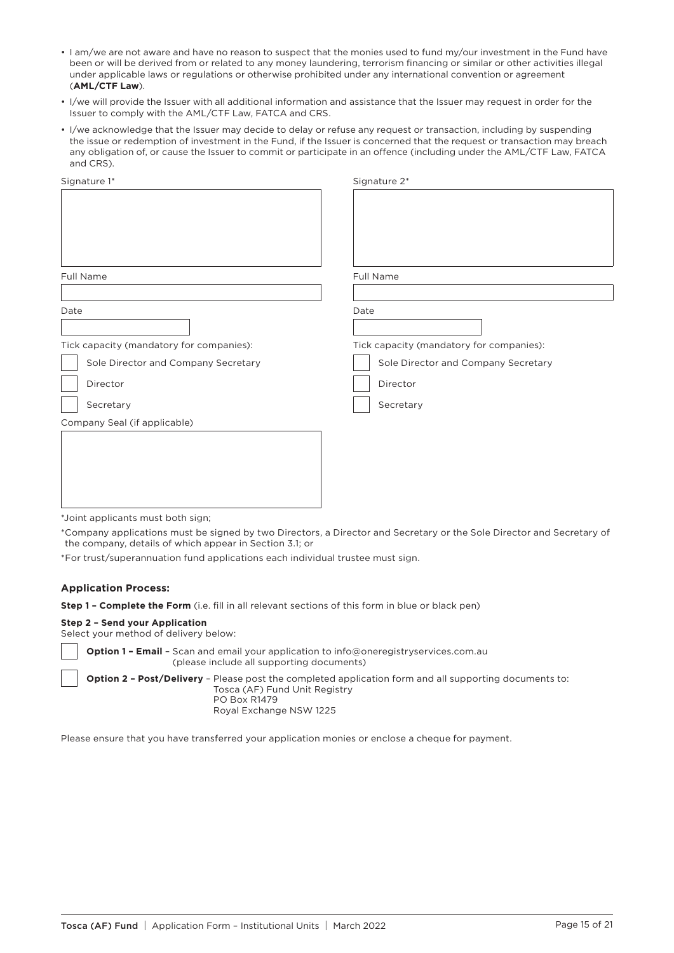- I am/we are not aware and have no reason to suspect that the monies used to fund my/our investment in the Fund have been or will be derived from or related to any money laundering, terrorism financing or similar or other activities illegal under applicable laws or regulations or otherwise prohibited under any international convention or agreement (**AML/CTF Law**).
- I/we will provide the Issuer with all additional information and assistance that the Issuer may request in order for the Issuer to comply with the AML/CTF Law, FATCA and CRS.
- I/we acknowledge that the Issuer may decide to delay or refuse any request or transaction, including by suspending the issue or redemption of investment in the Fund, if the Issuer is concerned that the request or transaction may breach any obligation of, or cause the Issuer to commit or participate in an offence (including under the AML/CTF Law, FATCA and CRS).

| Signature 1*                             | Signature 2*                             |  |  |  |
|------------------------------------------|------------------------------------------|--|--|--|
|                                          |                                          |  |  |  |
|                                          |                                          |  |  |  |
|                                          |                                          |  |  |  |
|                                          |                                          |  |  |  |
|                                          |                                          |  |  |  |
| <b>Full Name</b>                         | Full Name                                |  |  |  |
|                                          |                                          |  |  |  |
| Date                                     | Date                                     |  |  |  |
|                                          |                                          |  |  |  |
| Tick capacity (mandatory for companies): | Tick capacity (mandatory for companies): |  |  |  |
| Sole Director and Company Secretary      | Sole Director and Company Secretary      |  |  |  |
| Director                                 | Director                                 |  |  |  |
| Secretary                                | Secretary                                |  |  |  |
| Company Seal (if applicable)             |                                          |  |  |  |
|                                          |                                          |  |  |  |
|                                          |                                          |  |  |  |
|                                          |                                          |  |  |  |
|                                          |                                          |  |  |  |
|                                          |                                          |  |  |  |
|                                          |                                          |  |  |  |

\*Joint applicants must both sign;

\*Company applications must be signed by two Directors, a Director and Secretary or the Sole Director and Secretary of the company, details of which appear in Section 3.1; or

\*For trust/superannuation fund applications each individual trustee must sign.

#### **Application Process:**

**Step 1 – Complete the Form** (i.e. fill in all relevant sections of this form in blue or black pen)

#### **Step 2 – Send your Application**

Select your method of delivery below:

**Option 1 – Email** – Scan and email your application to [info@oneregistryservices.com.au](mailto:info@oneregistryservices.com.au)  (please include all supporting documents) **Option 2 – Post/Delivery** – Please post the completed application form and all supporting documents to: Tosca (AF) Fund Unit Registry PO Box R1479

Royal Exchange NSW 1225

Please ensure that you have transferred your application monies or enclose a cheque for payment.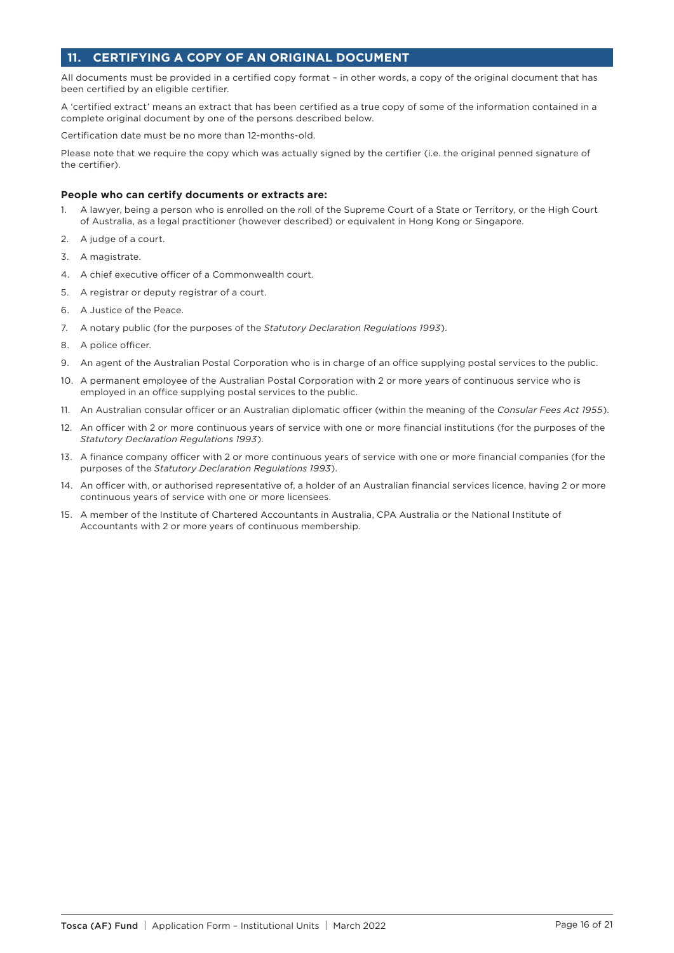# **11. CERTIFYING A COPY OF AN ORIGINAL DOCUMENT**

All documents must be provided in a certified copy format – in other words, a copy of the original document that has been certified by an eligible certifier.

A 'certified extract' means an extract that has been certified as a true copy of some of the information contained in a complete original document by one of the persons described below.

Certification date must be no more than 12-months-old.

Please note that we require the copy which was actually signed by the certifier (i.e. the original penned signature of the certifier).

#### **People who can certify documents or extracts are:**

- 1. A lawyer, being a person who is enrolled on the roll of the Supreme Court of a State or Territory, or the High Court of Australia, as a legal practitioner (however described) or equivalent in Hong Kong or Singapore.
- 2. A judge of a court.
- 3. A magistrate.
- 4. A chief executive officer of a Commonwealth court.
- 5. A registrar or deputy registrar of a court.
- 6. A Justice of the Peace.
- 7. A notary public (for the purposes of the *Statutory Declaration Regulations 1993*).
- 8. A police officer.
- 9. An agent of the Australian Postal Corporation who is in charge of an office supplying postal services to the public.
- 10. A permanent employee of the Australian Postal Corporation with 2 or more years of continuous service who is employed in an office supplying postal services to the public.
- 11. An Australian consular officer or an Australian diplomatic officer (within the meaning of the *Consular Fees Act 1955*).
- 12. An officer with 2 or more continuous years of service with one or more financial institutions (for the purposes of the *Statutory Declaration Regulations 1993*).
- 13. A finance company officer with 2 or more continuous years of service with one or more financial companies (for the purposes of the *Statutory Declaration Regulations 1993*).
- 14. An officer with, or authorised representative of, a holder of an Australian financial services licence, having 2 or more continuous years of service with one or more licensees.
- 15. A member of the Institute of Chartered Accountants in Australia, CPA Australia or the National Institute of Accountants with 2 or more years of continuous membership.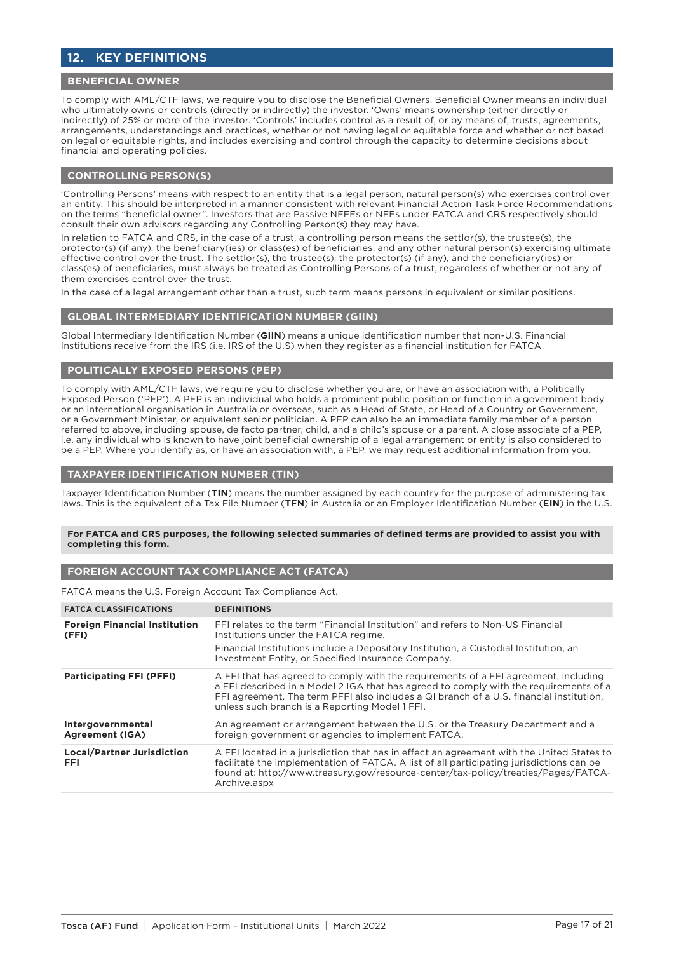# **12. KEY DEFINITIONS**

### **BENEFICIAL OWNER**

To comply with AML/CTF laws, we require you to disclose the Beneficial Owners. Beneficial Owner means an individual who ultimately owns or controls (directly or indirectly) the investor. 'Owns' means ownership (either directly or indirectly) of 25% or more of the investor. 'Controls' includes control as a result of, or by means of, trusts, agreements, arrangements, understandings and practices, whether or not having legal or equitable force and whether or not based on legal or equitable rights, and includes exercising and control through the capacity to determine decisions about financial and operating policies.

### **CONTROLLING PERSON(S)**

'Controlling Persons' means with respect to an entity that is a legal person, natural person(s) who exercises control over an entity. This should be interpreted in a manner consistent with relevant Financial Action Task Force Recommendations on the terms "beneficial owner". Investors that are Passive NFFEs or NFEs under FATCA and CRS respectively should consult their own advisors regarding any Controlling Person(s) they may have.

In relation to FATCA and CRS, in the case of a trust, a controlling person means the settlor(s), the trustee(s), the protector(s) (if any), the beneficiary(ies) or class(es) of beneficiaries, and any other natural person(s) exercising ultimate effective control over the trust. The settlor(s), the trustee(s), the protector(s) (if any), and the beneficiary(ies) or class(es) of beneficiaries, must always be treated as Controlling Persons of a trust, regardless of whether or not any of them exercises control over the trust.

In the case of a legal arrangement other than a trust, such term means persons in equivalent or similar positions.

#### **GLOBAL INTERMEDIARY IDENTIFICATION NUMBER (GIIN)**

Global Intermediary Identification Number (**GIIN**) means a unique identification number that non-U.S. Financial Institutions receive from the IRS (i.e. IRS of the U.S) when they register as a financial institution for FATCA.

### **POLITICALLY EXPOSED PERSONS (PEP)**

To comply with AML/CTF laws, we require you to disclose whether you are, or have an association with, a Politically Exposed Person ('PEP'). A PEP is an individual who holds a prominent public position or function in a government body or an international organisation in Australia or overseas, such as a Head of State, or Head of a Country or Government, or a Government Minister, or equivalent senior politician. A PEP can also be an immediate family member of a person referred to above, including spouse, de facto partner, child, and a child's spouse or a parent. A close associate of a PEP, i.e. any individual who is known to have joint beneficial ownership of a legal arrangement or entity is also considered to be a PEP. Where you identify as, or have an association with, a PEP, we may request additional information from you.

### **TAXPAYER IDENTIFICATION NUMBER (TIN)**

Taxpayer Identification Number (**TIN**) means the number assigned by each country for the purpose of administering tax laws. This is the equivalent of a Tax File Number (**TFN**) in Australia or an Employer Identification Number (**EIN**) in the U.S.

#### **For FATCA and CRS purposes, the following selected summaries of defined terms are provided to assist you with completing this form.**

## **FOREIGN ACCOUNT TAX COMPLIANCE ACT (FATCA)**

FATCA means the U.S. Foreign Account Tax Compliance Act.

| <b>FATCA CLASSIFICATIONS</b>                    | <b>DEFINITIONS</b>                                                                                                                                                                                                                                                                                                        |
|-------------------------------------------------|---------------------------------------------------------------------------------------------------------------------------------------------------------------------------------------------------------------------------------------------------------------------------------------------------------------------------|
| <b>Foreign Financial Institution</b><br>(FFI)   | FFI relates to the term "Financial Institution" and refers to Non-US Financial<br>Institutions under the FATCA regime.<br>Financial Institutions include a Depository Institution, a Custodial Institution, an<br>Investment Entity, or Specified Insurance Company.                                                      |
| <b>Participating FFI (PFFI)</b>                 | A FFI that has agreed to comply with the requirements of a FFI agreement, including<br>a FFI described in a Model 2 IGA that has agreed to comply with the requirements of a<br>FFI agreement. The term PFFI also includes a QI branch of a U.S. financial institution,<br>unless such branch is a Reporting Model 1 FFI. |
| Intergovernmental<br><b>Agreement (IGA)</b>     | An agreement or arrangement between the U.S. or the Treasury Department and a<br>foreign government or agencies to implement FATCA.                                                                                                                                                                                       |
| <b>Local/Partner Jurisdiction</b><br><b>FFI</b> | A FFI located in a jurisdiction that has in effect an agreement with the United States to<br>facilitate the implementation of FATCA. A list of all participating jurisdictions can be<br>found at: http://www.treasury.gov/resource-center/tax-policy/treaties/Pages/FATCA-<br>Archive.aspx                               |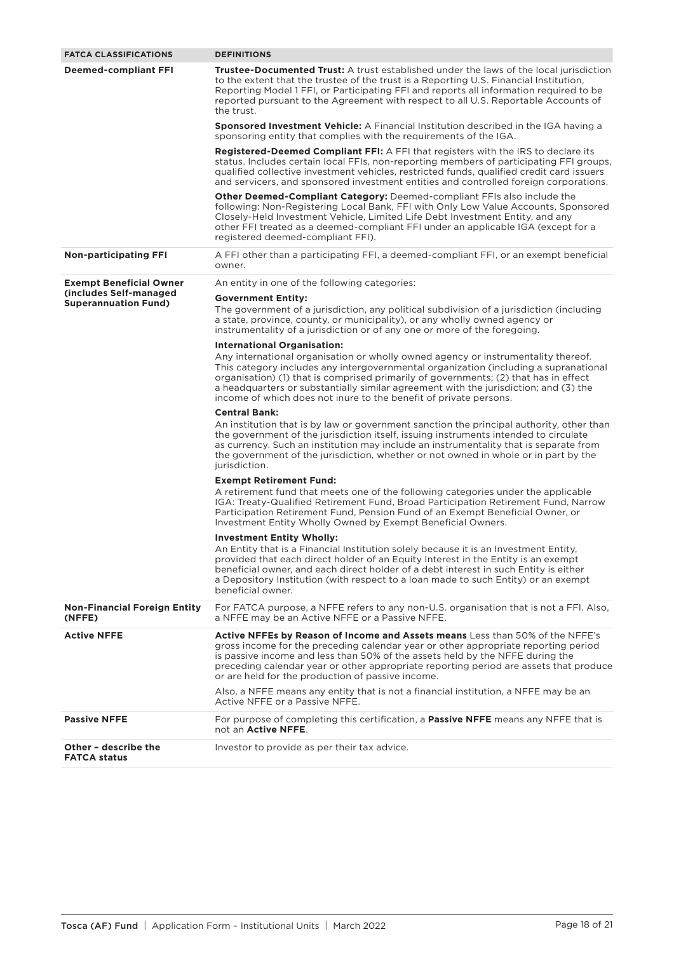| <b>FATCA CLASSIFICATIONS</b>                          | <b>DEFINITIONS</b>                                                                                                                                                                                                                                                                                                                                                                                                             |
|-------------------------------------------------------|--------------------------------------------------------------------------------------------------------------------------------------------------------------------------------------------------------------------------------------------------------------------------------------------------------------------------------------------------------------------------------------------------------------------------------|
| <b>Deemed-compliant FFI</b>                           | <b>Trustee-Documented Trust:</b> A trust established under the laws of the local jurisdiction<br>to the extent that the trustee of the trust is a Reporting U.S. Financial Institution,<br>Reporting Model 1 FFI, or Participating FFI and reports all information required to be<br>reported pursuant to the Agreement with respect to all U.S. Reportable Accounts of<br>the trust.                                          |
|                                                       | <b>Sponsored Investment Vehicle:</b> A Financial Institution described in the IGA having a<br>sponsoring entity that complies with the requirements of the IGA.                                                                                                                                                                                                                                                                |
|                                                       | <b>Registered-Deemed Compliant FFI:</b> A FFI that registers with the IRS to declare its<br>status. Includes certain local FFIs, non-reporting members of participating FFI groups,<br>qualified collective investment vehicles, restricted funds, qualified credit card issuers<br>and servicers, and sponsored investment entities and controlled foreign corporations.                                                      |
|                                                       | <b>Other Deemed-Compliant Category:</b> Deemed-compliant FFIs also include the<br>following: Non-Registering Local Bank, FFI with Only Low Value Accounts, Sponsored<br>Closely-Held Investment Vehicle, Limited Life Debt Investment Entity, and any<br>other FFI treated as a deemed-compliant FFI under an applicable IGA (except for a<br>registered deemed-compliant FFI).                                                |
| <b>Non-participating FFI</b>                          | A FFI other than a participating FFI, a deemed-compliant FFI, or an exempt beneficial<br>owner.                                                                                                                                                                                                                                                                                                                                |
| <b>Exempt Beneficial Owner</b>                        | An entity in one of the following categories:                                                                                                                                                                                                                                                                                                                                                                                  |
| Cincludes Self-managed<br><b>Superannuation Fund)</b> | <b>Government Entity:</b><br>The government of a jurisdiction, any political subdivision of a jurisdiction (including<br>a state, province, county, or municipality), or any wholly owned agency or<br>instrumentality of a jurisdiction or of any one or more of the foregoing.                                                                                                                                               |
|                                                       | <b>International Organisation:</b>                                                                                                                                                                                                                                                                                                                                                                                             |
|                                                       | Any international organisation or wholly owned agency or instrumentality thereof.<br>This category includes any intergovernmental organization (including a supranational<br>organisation) (1) that is comprised primarily of governments; (2) that has in effect<br>a headquarters or substantially similar agreement with the jurisdiction; and (3) the<br>income of which does not inure to the benefit of private persons. |
|                                                       | <b>Central Bank:</b>                                                                                                                                                                                                                                                                                                                                                                                                           |
|                                                       | An institution that is by law or government sanction the principal authority, other than<br>the government of the jurisdiction itself, issuing instruments intended to circulate<br>as currency. Such an institution may include an instrumentality that is separate from<br>the government of the jurisdiction, whether or not owned in whole or in part by the<br>jurisdiction.                                              |
|                                                       | <b>Exempt Retirement Fund:</b>                                                                                                                                                                                                                                                                                                                                                                                                 |
|                                                       | A retirement fund that meets one of the following categories under the applicable<br>IGA: Treaty-Qualified Retirement Fund, Broad Participation Retirement Fund, Narrow<br>Participation Retirement Fund, Pension Fund of an Exempt Beneficial Owner, or<br>Investment Entity Wholly Owned by Exempt Beneficial Owners.                                                                                                        |
|                                                       | <b>Investment Entity Wholly:</b>                                                                                                                                                                                                                                                                                                                                                                                               |
|                                                       | An Entity that is a Financial Institution solely because it is an Investment Entity,<br>provided that each direct holder of an Equity Interest in the Entity is an exempt<br>beneficial owner, and each direct holder of a debt interest in such Entity is either<br>a Depository Institution (with respect to a loan made to such Entity) or an exempt<br>beneficial owner.                                                   |
| <b>Non-Financial Foreign Entity</b><br>(NFFE)         | For FATCA purpose, a NFFE refers to any non-U.S. organisation that is not a FFI. Also,<br>a NFFE may be an Active NFFE or a Passive NFFE.                                                                                                                                                                                                                                                                                      |
| <b>Active NFFE</b>                                    | <b>Active NFFEs by Reason of Income and Assets means</b> Less than 50% of the NFFE's<br>gross income for the preceding calendar year or other appropriate reporting period<br>is passive income and less than 50% of the assets held by the NFFE during the<br>preceding calendar year or other appropriate reporting period are assets that produce<br>or are held for the production of passive income.                      |
|                                                       | Also, a NFFE means any entity that is not a financial institution, a NFFE may be an<br>Active NFFE or a Passive NFFE.                                                                                                                                                                                                                                                                                                          |
| <b>Passive NFFE</b>                                   | For purpose of completing this certification, a <b>Passive NFFE</b> means any NFFE that is<br>not an Active NFFE.                                                                                                                                                                                                                                                                                                              |
| Other - describe the<br><b>FATCA status</b>           | Investor to provide as per their tax advice.                                                                                                                                                                                                                                                                                                                                                                                   |
|                                                       |                                                                                                                                                                                                                                                                                                                                                                                                                                |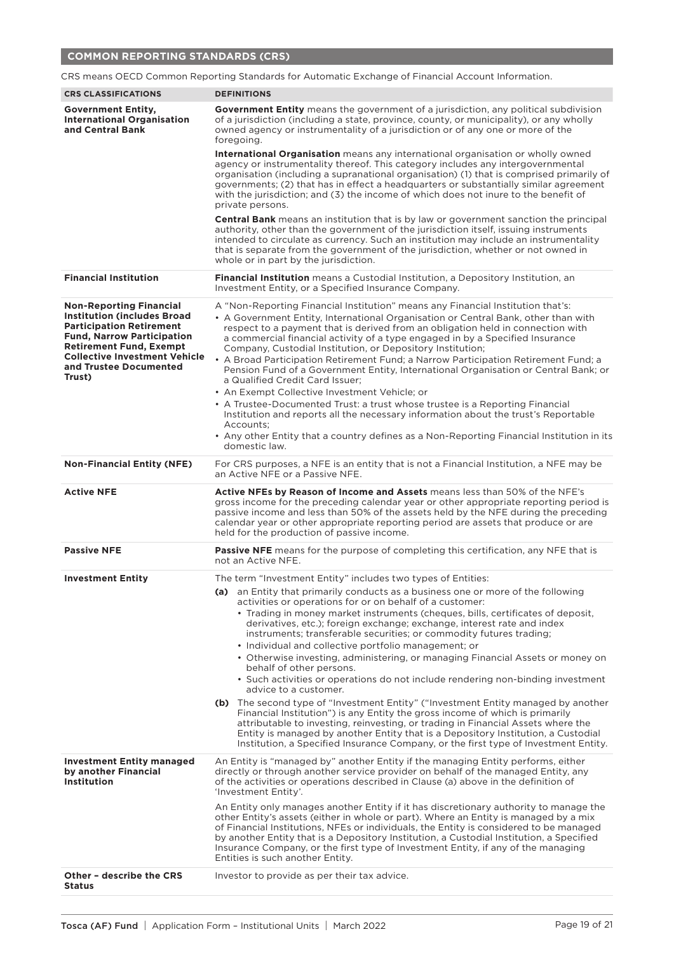# **COMMON REPORTING STANDARDS (CRS)**

|                                                                                                                                                                                                                                                            | CRS means OECD Common Reporting Standards for Automatic Exchange of Financial Account Information.                                                                                                                                                                                                                                                                                                                                                                                                                                                                                                                                                                                                                                                       |  |  |
|------------------------------------------------------------------------------------------------------------------------------------------------------------------------------------------------------------------------------------------------------------|----------------------------------------------------------------------------------------------------------------------------------------------------------------------------------------------------------------------------------------------------------------------------------------------------------------------------------------------------------------------------------------------------------------------------------------------------------------------------------------------------------------------------------------------------------------------------------------------------------------------------------------------------------------------------------------------------------------------------------------------------------|--|--|
| <b>CRS CLASSIFICATIONS</b>                                                                                                                                                                                                                                 | <b>DEFINITIONS</b>                                                                                                                                                                                                                                                                                                                                                                                                                                                                                                                                                                                                                                                                                                                                       |  |  |
| <b>Government Entity,</b><br><b>International Organisation</b><br>and Central Bank                                                                                                                                                                         | <b>Government Entity</b> means the government of a jurisdiction, any political subdivision<br>of a jurisdiction (including a state, province, county, or municipality), or any wholly<br>owned agency or instrumentality of a jurisdiction or of any one or more of the<br>foregoing.                                                                                                                                                                                                                                                                                                                                                                                                                                                                    |  |  |
|                                                                                                                                                                                                                                                            | International Organisation means any international organisation or wholly owned<br>agency or instrumentality thereof. This category includes any intergovernmental<br>organisation (including a supranational organisation) (1) that is comprised primarily of<br>governments; (2) that has in effect a headquarters or substantially similar agreement<br>with the jurisdiction; and (3) the income of which does not inure to the benefit of<br>private persons.                                                                                                                                                                                                                                                                                       |  |  |
|                                                                                                                                                                                                                                                            | <b>Central Bank</b> means an institution that is by law or government sanction the principal<br>authority, other than the government of the jurisdiction itself, issuing instruments<br>intended to circulate as currency. Such an institution may include an instrumentality<br>that is separate from the government of the jurisdiction, whether or not owned in<br>whole or in part by the jurisdiction.                                                                                                                                                                                                                                                                                                                                              |  |  |
| <b>Financial Institution</b>                                                                                                                                                                                                                               | Financial Institution means a Custodial Institution, a Depository Institution, an<br>Investment Entity, or a Specified Insurance Company.                                                                                                                                                                                                                                                                                                                                                                                                                                                                                                                                                                                                                |  |  |
| <b>Non-Reporting Financial</b><br><b>Institution (includes Broad</b><br><b>Participation Retirement</b><br><b>Fund, Narrow Participation</b><br><b>Retirement Fund, Exempt</b><br><b>Collective Investment Vehicle</b><br>and Trustee Documented<br>Trust) | A "Non-Reporting Financial Institution" means any Financial Institution that's:<br>• A Government Entity, International Organisation or Central Bank, other than with<br>respect to a payment that is derived from an obligation held in connection with<br>a commercial financial activity of a type engaged in by a Specified Insurance<br>Company, Custodial Institution, or Depository Institution;<br>• A Broad Participation Retirement Fund; a Narrow Participation Retirement Fund; a<br>Pension Fund of a Government Entity, International Organisation or Central Bank; or<br>a Qualified Credit Card Issuer;<br>• An Exempt Collective Investment Vehicle; or<br>• A Trustee-Documented Trust: a trust whose trustee is a Reporting Financial |  |  |
|                                                                                                                                                                                                                                                            | Institution and reports all the necessary information about the trust's Reportable<br>Accounts:<br>• Any other Entity that a country defines as a Non-Reporting Financial Institution in its<br>domestic law.                                                                                                                                                                                                                                                                                                                                                                                                                                                                                                                                            |  |  |
| <b>Non-Financial Entity (NFE)</b>                                                                                                                                                                                                                          | For CRS purposes, a NFE is an entity that is not a Financial Institution, a NFE may be<br>an Active NFE or a Passive NFE.                                                                                                                                                                                                                                                                                                                                                                                                                                                                                                                                                                                                                                |  |  |
|                                                                                                                                                                                                                                                            |                                                                                                                                                                                                                                                                                                                                                                                                                                                                                                                                                                                                                                                                                                                                                          |  |  |
| <b>Active NFE</b>                                                                                                                                                                                                                                          | Active NFEs by Reason of Income and Assets means less than 50% of the NFE's<br>gross income for the preceding calendar year or other appropriate reporting period is<br>passive income and less than 50% of the assets held by the NFE during the preceding<br>calendar year or other appropriate reporting period are assets that produce or are<br>held for the production of passive income.                                                                                                                                                                                                                                                                                                                                                          |  |  |
| <b>Passive NFE</b>                                                                                                                                                                                                                                         | <b>Passive NFE</b> means for the purpose of completing this certification, any NFE that is<br>not an Active NFE.                                                                                                                                                                                                                                                                                                                                                                                                                                                                                                                                                                                                                                         |  |  |
| <b>Investment Entity</b>                                                                                                                                                                                                                                   | The term "Investment Entity" includes two types of Entities:                                                                                                                                                                                                                                                                                                                                                                                                                                                                                                                                                                                                                                                                                             |  |  |
|                                                                                                                                                                                                                                                            | (a) an Entity that primarily conducts as a business one or more of the following<br>activities or operations for or on behalf of a customer:                                                                                                                                                                                                                                                                                                                                                                                                                                                                                                                                                                                                             |  |  |
|                                                                                                                                                                                                                                                            | • Trading in money market instruments (cheques, bills, certificates of deposit,<br>derivatives, etc.); foreign exchange; exchange, interest rate and index<br>instruments; transferable securities; or commodity futures trading;                                                                                                                                                                                                                                                                                                                                                                                                                                                                                                                        |  |  |
|                                                                                                                                                                                                                                                            | • Individual and collective portfolio management; or<br>• Otherwise investing, administering, or managing Financial Assets or money on<br>behalf of other persons.                                                                                                                                                                                                                                                                                                                                                                                                                                                                                                                                                                                       |  |  |
|                                                                                                                                                                                                                                                            | • Such activities or operations do not include rendering non-binding investment<br>advice to a customer.                                                                                                                                                                                                                                                                                                                                                                                                                                                                                                                                                                                                                                                 |  |  |
|                                                                                                                                                                                                                                                            | (b) The second type of "Investment Entity" ("Investment Entity managed by another<br>Financial Institution") is any Entity the gross income of which is primarily<br>attributable to investing, reinvesting, or trading in Financial Assets where the<br>Entity is managed by another Entity that is a Depository Institution, a Custodial<br>Institution, a Specified Insurance Company, or the first type of Investment Entity.                                                                                                                                                                                                                                                                                                                        |  |  |
| <b>Investment Entity managed</b><br>by another Financial<br><b>Institution</b>                                                                                                                                                                             | An Entity is "managed by" another Entity if the managing Entity performs, either<br>directly or through another service provider on behalf of the managed Entity, any<br>of the activities or operations described in Clause (a) above in the definition of<br>'Investment Entity'.                                                                                                                                                                                                                                                                                                                                                                                                                                                                      |  |  |
|                                                                                                                                                                                                                                                            | An Entity only manages another Entity if it has discretionary authority to manage the<br>other Entity's assets (either in whole or part). Where an Entity is managed by a mix<br>of Financial Institutions, NFEs or individuals, the Entity is considered to be managed<br>by another Entity that is a Depository Institution, a Custodial Institution, a Specified<br>Insurance Company, or the first type of Investment Entity, if any of the managing<br>Entities is such another Entity.                                                                                                                                                                                                                                                             |  |  |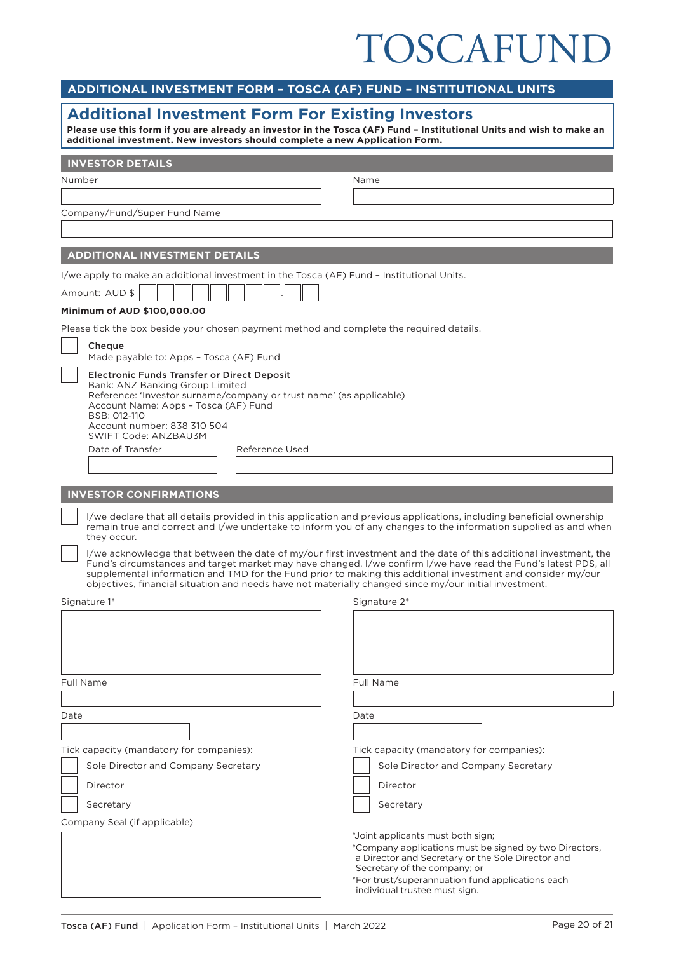# TOSCAFUND

| ADDITIONAL INVESTMENT FORM - TOSCA (AF) FUND - INSTITUTIONAL UNITS                                                                                                                                                                                                                 |                                                                                                                                                                                                                                                                                                                                                      |  |  |  |
|------------------------------------------------------------------------------------------------------------------------------------------------------------------------------------------------------------------------------------------------------------------------------------|------------------------------------------------------------------------------------------------------------------------------------------------------------------------------------------------------------------------------------------------------------------------------------------------------------------------------------------------------|--|--|--|
| <b>Additional Investment Form For Existing Investors</b><br>Please use this form if you are already an investor in the Tosca (AF) Fund - Institutional Units and wish to make an<br>additional investment. New investors should complete a new Application Form.                   |                                                                                                                                                                                                                                                                                                                                                      |  |  |  |
| <b>INVESTOR DETAILS</b>                                                                                                                                                                                                                                                            |                                                                                                                                                                                                                                                                                                                                                      |  |  |  |
| Number                                                                                                                                                                                                                                                                             | Name                                                                                                                                                                                                                                                                                                                                                 |  |  |  |
|                                                                                                                                                                                                                                                                                    |                                                                                                                                                                                                                                                                                                                                                      |  |  |  |
| Company/Fund/Super Fund Name                                                                                                                                                                                                                                                       |                                                                                                                                                                                                                                                                                                                                                      |  |  |  |
|                                                                                                                                                                                                                                                                                    |                                                                                                                                                                                                                                                                                                                                                      |  |  |  |
| <b>ADDITIONAL INVESTMENT DETAILS</b>                                                                                                                                                                                                                                               |                                                                                                                                                                                                                                                                                                                                                      |  |  |  |
| I/we apply to make an additional investment in the Tosca (AF) Fund - Institutional Units.                                                                                                                                                                                          |                                                                                                                                                                                                                                                                                                                                                      |  |  |  |
| Amount: AUD \$                                                                                                                                                                                                                                                                     |                                                                                                                                                                                                                                                                                                                                                      |  |  |  |
| Minimum of AUD \$100,000.00<br>Please tick the box beside your chosen payment method and complete the required details.                                                                                                                                                            |                                                                                                                                                                                                                                                                                                                                                      |  |  |  |
| Cheque                                                                                                                                                                                                                                                                             |                                                                                                                                                                                                                                                                                                                                                      |  |  |  |
| Made payable to: Apps - Tosca (AF) Fund                                                                                                                                                                                                                                            |                                                                                                                                                                                                                                                                                                                                                      |  |  |  |
| <b>Electronic Funds Transfer or Direct Deposit</b><br>Bank: ANZ Banking Group Limited<br>Reference: 'Investor surname/company or trust name' (as applicable)<br>Account Name: Apps - Tosca (AF) Fund<br>BSB: 012-110<br>Account number: 838 310 504<br><b>SWIFT Code: ANZBAU3M</b> |                                                                                                                                                                                                                                                                                                                                                      |  |  |  |
| Date of Transfer<br>Reference Used                                                                                                                                                                                                                                                 |                                                                                                                                                                                                                                                                                                                                                      |  |  |  |
|                                                                                                                                                                                                                                                                                    |                                                                                                                                                                                                                                                                                                                                                      |  |  |  |
| <b>INVESTOR CONFIRMATIONS</b>                                                                                                                                                                                                                                                      |                                                                                                                                                                                                                                                                                                                                                      |  |  |  |
| they occur.                                                                                                                                                                                                                                                                        | I/we declare that all details provided in this application and previous applications, including beneficial ownership<br>remain true and correct and I/we undertake to inform you of any changes to the information supplied as and when                                                                                                              |  |  |  |
| objectives, financial situation and needs have not materially changed since my/our initial investment.                                                                                                                                                                             | I/we acknowledge that between the date of my/our first investment and the date of this additional investment, the<br>Fund's circumstances and target market may have changed. I/we confirm I/we have read the Fund's latest PDS, all<br>supplemental information and TMD for the Fund prior to making this additional investment and consider my/our |  |  |  |
| Signature 1*                                                                                                                                                                                                                                                                       | Signature 2*                                                                                                                                                                                                                                                                                                                                         |  |  |  |
|                                                                                                                                                                                                                                                                                    |                                                                                                                                                                                                                                                                                                                                                      |  |  |  |
| <b>Full Name</b>                                                                                                                                                                                                                                                                   | <b>Full Name</b>                                                                                                                                                                                                                                                                                                                                     |  |  |  |
| Date                                                                                                                                                                                                                                                                               | Date                                                                                                                                                                                                                                                                                                                                                 |  |  |  |
|                                                                                                                                                                                                                                                                                    |                                                                                                                                                                                                                                                                                                                                                      |  |  |  |
| Tick capacity (mandatory for companies):                                                                                                                                                                                                                                           | Tick capacity (mandatory for companies):                                                                                                                                                                                                                                                                                                             |  |  |  |
| Sole Director and Company Secretary                                                                                                                                                                                                                                                | Sole Director and Company Secretary                                                                                                                                                                                                                                                                                                                  |  |  |  |
| Director                                                                                                                                                                                                                                                                           | Director                                                                                                                                                                                                                                                                                                                                             |  |  |  |
| Secretary                                                                                                                                                                                                                                                                          | Secretary                                                                                                                                                                                                                                                                                                                                            |  |  |  |
| Company Seal (if applicable)                                                                                                                                                                                                                                                       | *Joint applicants must both sign;<br>*Company applications must be signed by two Directors,<br>a Director and Secretary or the Sole Director and<br>Secretary of the company; or<br>*For trust/superannuation fund applications each<br>individual trustee must sign.                                                                                |  |  |  |